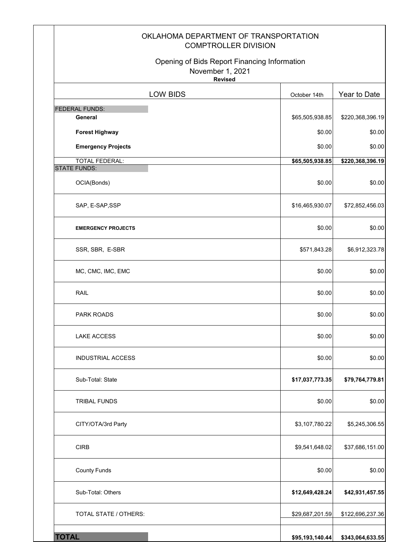| OKLAHOMA DEPARTMENT OF TRANSPORTATION<br><b>COMPTROLLER DIVISION</b>               |                 |                            |
|------------------------------------------------------------------------------------|-----------------|----------------------------|
| Opening of Bids Report Financing Information<br>November 1, 2021<br><b>Revised</b> |                 |                            |
| <b>LOW BIDS</b>                                                                    | October 14th    | Year to Date               |
| <b>FEDERAL FUNDS:</b>                                                              |                 |                            |
| General                                                                            | \$65,505,938.85 | \$220,368,396.19           |
| <b>Forest Highway</b>                                                              | \$0.00          | \$0.00                     |
| <b>Emergency Projects</b><br><b>TOTAL FEDERAL:</b>                                 | \$0.00          | \$0.00<br>\$220,368,396.19 |
| <b>STATE FUNDS:</b>                                                                | \$65,505,938.85 |                            |
| OCIA(Bonds)                                                                        | \$0.00          | \$0.00                     |
| SAP, E-SAP, SSP                                                                    | \$16,465,930.07 | \$72,852,456.03            |
| <b>EMERGENCY PROJECTS</b>                                                          | \$0.00          | \$0.00                     |
| SSR, SBR, E-SBR                                                                    | \$571,843.28    | \$6,912,323.78             |
| MC, CMC, IMC, EMC                                                                  | \$0.00          | \$0.00                     |
| RAIL                                                                               | \$0.00          | \$0.00                     |
| <b>PARK ROADS</b>                                                                  | \$0.00          | \$0.00                     |
| <b>LAKE ACCESS</b>                                                                 | \$0.00          | \$0.00                     |
| <b>INDUSTRIAL ACCESS</b>                                                           | \$0.00          | \$0.00                     |
| Sub-Total: State                                                                   | \$17,037,773.35 | \$79,764,779.81            |
| <b>TRIBAL FUNDS</b>                                                                | \$0.00          | \$0.00                     |
| CITY/OTA/3rd Party                                                                 | \$3,107,780.22  | \$5,245,306.55             |
| <b>CIRB</b>                                                                        | \$9,541,648.02  | \$37,686,151.00            |
| <b>County Funds</b>                                                                | \$0.00          | \$0.00                     |
| Sub-Total: Others                                                                  | \$12,649,428.24 | \$42,931,457.55            |
| TOTAL STATE / OTHERS:                                                              | \$29,687,201.59 | \$122,696,237.36           |
| <b>TOTAL</b>                                                                       | \$95,193,140.44 | \$343,064,633.55           |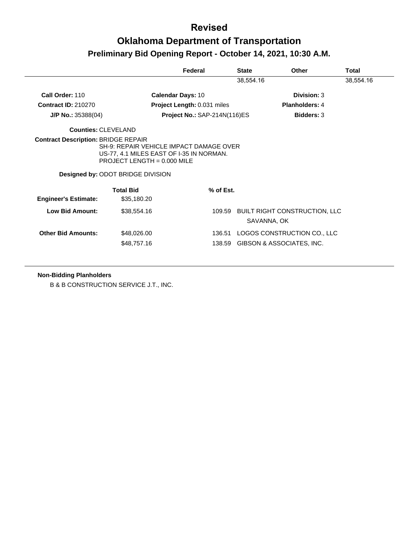# **Oklahoma Department of Transportation Preliminary Bid Opening Report - October 14, 2021, 10:30 A.M.**

|                             |                                                                                                                                                                  | Federal                            | <b>State</b> | Other                                               | Total     |
|-----------------------------|------------------------------------------------------------------------------------------------------------------------------------------------------------------|------------------------------------|--------------|-----------------------------------------------------|-----------|
|                             |                                                                                                                                                                  |                                    | 38,554.16    |                                                     | 38,554.16 |
| Call Order: 110             | <b>Calendar Days: 10</b>                                                                                                                                         |                                    |              | Division: 3                                         |           |
| <b>Contract ID: 210270</b>  |                                                                                                                                                                  | <b>Project Length: 0.031 miles</b> |              | <b>Planholders: 4</b>                               |           |
| J/P No.: 35388(04)          |                                                                                                                                                                  | Project No.: SAP-214N(116)ES       |              | <b>Bidders: 3</b>                                   |           |
| <b>Counties: CLEVELAND</b>  |                                                                                                                                                                  |                                    |              |                                                     |           |
|                             | SH-9: REPAIR VEHICLE IMPACT DAMAGE OVER<br>US-77, 4.1 MILES EAST OF I-35 IN NORMAN.<br>PROJECT LENGTH = $0.000$ MILE<br><b>Designed by: ODOT BRIDGE DIVISION</b> |                                    |              |                                                     |           |
| <b>Engineer's Estimate:</b> | <b>Total Bid</b><br>\$35,180.20                                                                                                                                  | % of Est.                          |              |                                                     |           |
| Low Bid Amount:             | \$38,554.16                                                                                                                                                      | 109.59                             |              | <b>BUILT RIGHT CONSTRUCTION, LLC</b><br>SAVANNA, OK |           |
| <b>Other Bid Amounts:</b>   | \$48,026.00                                                                                                                                                      | 136.51                             |              | LOGOS CONSTRUCTION CO., LLC                         |           |
|                             | \$48,757.16                                                                                                                                                      | 138.59                             |              | GIBSON & ASSOCIATES, INC.                           |           |

#### **Non-Bidding Planholders**

B & B CONSTRUCTION SERVICE J.T., INC.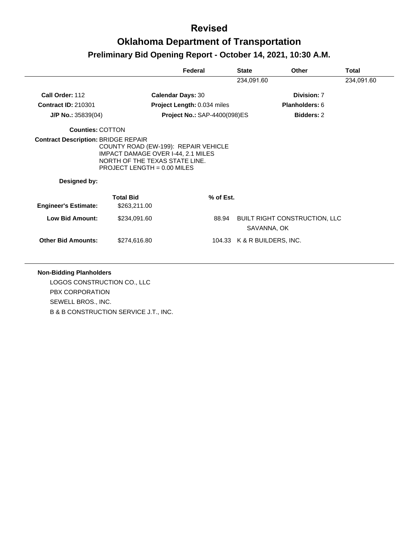## **Revised Oklahoma Department of Transportation Preliminary Bid Opening Report - October 14, 2021, 10:30 A.M.**

|                             |                                                                                                                                                      | Federal                             | <b>State</b> | Other                                               | <b>Total</b> |
|-----------------------------|------------------------------------------------------------------------------------------------------------------------------------------------------|-------------------------------------|--------------|-----------------------------------------------------|--------------|
|                             |                                                                                                                                                      |                                     | 234,091.60   |                                                     | 234,091.60   |
| Call Order: 112             | <b>Calendar Days: 30</b>                                                                                                                             |                                     |              | Division: 7                                         |              |
| <b>Contract ID: 210301</b>  |                                                                                                                                                      | <b>Project Length: 0.034 miles</b>  |              | Planholders: 6                                      |              |
| $J/P$ No.: 35839(04)        |                                                                                                                                                      | <b>Project No.: SAP-4400(098)ES</b> |              | <b>Bidders: 2</b>                                   |              |
| <b>Counties: COTTON</b>     |                                                                                                                                                      |                                     |              |                                                     |              |
| Designed by:                | COUNTY ROAD (EW-199): REPAIR VEHICLE<br><b>IMPACT DAMAGE OVER I-44, 2.1 MILES</b><br>NORTH OF THE TEXAS STATE LINE.<br>PROJECT LENGTH = $0.00$ MILES |                                     |              |                                                     |              |
|                             | <b>Total Bid</b>                                                                                                                                     | % of Est.                           |              |                                                     |              |
| <b>Engineer's Estimate:</b> | \$263,211.00                                                                                                                                         |                                     |              |                                                     |              |
| Low Bid Amount:             | \$234,091.60                                                                                                                                         | 88.94                               |              | <b>BUILT RIGHT CONSTRUCTION, LLC</b><br>SAVANNA, OK |              |
| <b>Other Bid Amounts:</b>   | \$274,616.80                                                                                                                                         |                                     |              | 104.33 K & R BUILDERS, INC.                         |              |

#### **Non-Bidding Planholders**

LOGOS CONSTRUCTION CO., LLC PBX CORPORATION SEWELL BROS., INC. B & B CONSTRUCTION SERVICE J.T., INC.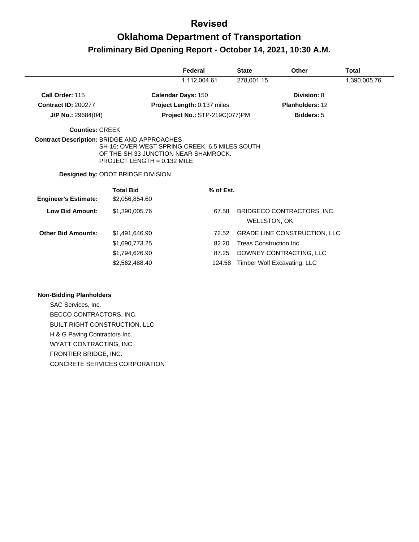# **Oklahoma Department of Transportation Preliminary Bid Opening Report - October 14, 2021, 10:30 A.M.**

|                                                    |                                                                                                                                                                     | Federal                      | <b>State</b> | <b>Other</b>                                      | Total        |
|----------------------------------------------------|---------------------------------------------------------------------------------------------------------------------------------------------------------------------|------------------------------|--------------|---------------------------------------------------|--------------|
|                                                    |                                                                                                                                                                     | 1,112,004.61                 | 278,001.15   |                                                   | 1,390,005.76 |
| Call Order: 115                                    |                                                                                                                                                                     | <b>Calendar Days: 150</b>    |              | Division: 8                                       |              |
| <b>Contract ID: 200277</b>                         |                                                                                                                                                                     | Project Length: 0.137 miles  |              | Planholders: 12                                   |              |
| $J/P$ No.: 29684(04)                               |                                                                                                                                                                     | Project No.: STP-219C(077)PM |              | <b>Bidders: 5</b>                                 |              |
| <b>Counties: CREEK</b>                             |                                                                                                                                                                     |                              |              |                                                   |              |
| <b>Contract Description: BRIDGE AND APPROACHES</b> | SH-16: OVER WEST SPRING CREEK, 6.5 MILES SOUTH<br>OF THE SH-33 JUNCTION NEAR SHAMROCK.<br>PROJECT LENGTH = $0.132$ MILE<br><b>Designed by: ODOT BRIDGE DIVISION</b> |                              |              |                                                   |              |
| <b>Engineer's Estimate:</b>                        | <b>Total Bid</b><br>\$2,056,854.60                                                                                                                                  | % of Est.                    |              |                                                   |              |
| <b>Low Bid Amount:</b>                             | \$1,390,005.76                                                                                                                                                      | 67.58                        |              | BRIDGECO CONTRACTORS, INC.<br><b>WELLSTON, OK</b> |              |
| <b>Other Bid Amounts:</b>                          | \$1,491,646.90                                                                                                                                                      | 72.52                        |              | <b>GRADE LINE CONSTRUCTION, LLC</b>               |              |
|                                                    | \$1,690,773.25                                                                                                                                                      | 82.20                        |              | <b>Treas Construction Inc.</b>                    |              |
|                                                    | \$1,794,626.90                                                                                                                                                      | 87.25                        |              | DOWNEY CONTRACTING, LLC                           |              |
|                                                    | \$2,562,488.40                                                                                                                                                      | 124.58                       |              | Timber Wolf Excavating, LLC                       |              |

#### **Non-Bidding Planholders**

SAC Services, Inc. BECCO CONTRACTORS, INC. BUILT RIGHT CONSTRUCTION, LLC H & G Paving Contractors Inc. WYATT CONTRACTING, INC. FRONTIER BRIDGE, INC. CONCRETE SERVICES CORPORATION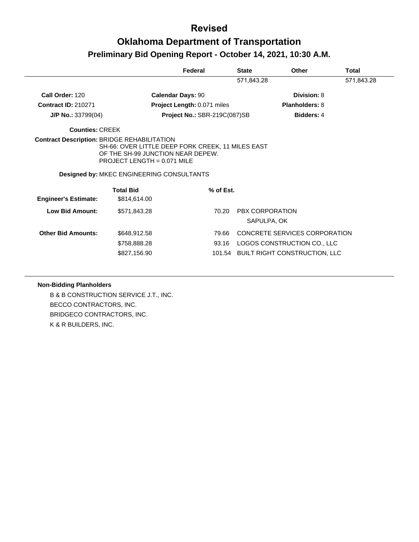### **Revised Oklahoma Department of Transportation Preliminary Bid Opening Report - October 14, 2021, 10:30 A.M.**

|                             |                                                                                                                                                                      | Federal                      | <b>State</b> | <b>Other</b>                  | <b>Total</b> |
|-----------------------------|----------------------------------------------------------------------------------------------------------------------------------------------------------------------|------------------------------|--------------|-------------------------------|--------------|
|                             |                                                                                                                                                                      |                              | 571,843.28   |                               | 571,843.28   |
| Call Order: 120             | <b>Calendar Days: 90</b>                                                                                                                                             |                              |              | Division: 8                   |              |
| <b>Contract ID: 210271</b>  |                                                                                                                                                                      | Project Length: 0.071 miles  |              | <b>Planholders: 8</b>         |              |
| $J/P$ No.: 33799(04)        |                                                                                                                                                                      | Project No.: SBR-219C(087)SB |              | <b>Bidders: 4</b>             |              |
| <b>Counties: CREEK</b>      |                                                                                                                                                                      |                              |              |                               |              |
|                             | SH-66: OVER LITTLE DEEP FORK CREEK, 11 MILES EAST<br>OF THE SH-99 JUNCTION NEAR DEPEW.<br>PROJECT LENGTH = $0.071$ MILE<br>Designed by: MKEC ENGINEERING CONSULTANTS |                              |              |                               |              |
|                             | <b>Total Bid</b>                                                                                                                                                     | % of Est.                    |              |                               |              |
| <b>Engineer's Estimate:</b> | \$814,614.00                                                                                                                                                         |                              |              |                               |              |
| Low Bid Amount:             | \$571,843.28                                                                                                                                                         | 70.20                        |              | PBX CORPORATION               |              |
|                             |                                                                                                                                                                      |                              |              | SAPULPA, OK                   |              |
| <b>Other Bid Amounts:</b>   | \$648,912.58                                                                                                                                                         | 79.66                        |              | CONCRETE SERVICES CORPORATION |              |
|                             |                                                                                                                                                                      |                              |              |                               |              |
|                             | \$758,888.28                                                                                                                                                         | 93.16                        |              | LOGOS CONSTRUCTION CO., LLC   |              |

#### **Non-Bidding Planholders**

B & B CONSTRUCTION SERVICE J.T., INC. BECCO CONTRACTORS, INC. BRIDGECO CONTRACTORS, INC. K & R BUILDERS, INC.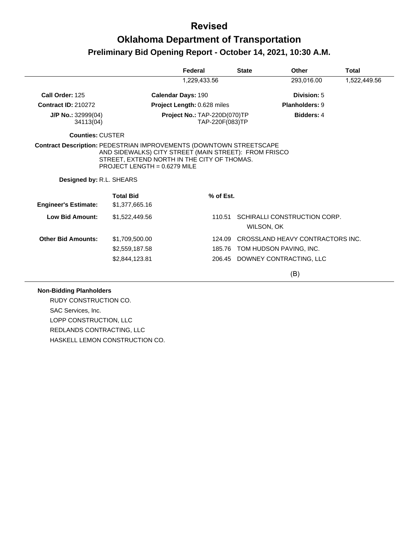## **Oklahoma Department of Transportation Preliminary Bid Opening Report - October 14, 2021, 10:30 A.M.**

|                                   |                                                                                                                                        | Federal                            | <b>State</b>    | <b>Other</b>                               | <b>Total</b> |
|-----------------------------------|----------------------------------------------------------------------------------------------------------------------------------------|------------------------------------|-----------------|--------------------------------------------|--------------|
|                                   |                                                                                                                                        | 1,229,433.56                       |                 | 293,016.00                                 | 1,522,449.56 |
| Call Order: 125                   |                                                                                                                                        | <b>Calendar Days: 190</b>          |                 | Division: 5                                |              |
| <b>Contract ID: 210272</b>        |                                                                                                                                        | <b>Project Length: 0.628 miles</b> |                 | <b>Planholders: 9</b>                      |              |
| $J/P$ No.: 32999(04)<br>34113(04) | Project No.: TAP-220D(070)TP                                                                                                           |                                    | TAP-220F(083)TP | <b>Bidders: 4</b>                          |              |
| <b>Counties: CUSTER</b>           |                                                                                                                                        |                                    |                 |                                            |              |
| Designed by: R.L. SHEARS          | AND SIDEWALKS) CITY STREET (MAIN STREET): FROM FRISCO<br>STREET, EXTEND NORTH IN THE CITY OF THOMAS.<br>PROJECT LENGTH = $0.6279$ MILE |                                    |                 |                                            |              |
| <b>Engineer's Estimate:</b>       | <b>Total Bid</b><br>\$1,377,665.16                                                                                                     |                                    | % of Est.       |                                            |              |
| <b>Low Bid Amount:</b>            | \$1,522,449.56                                                                                                                         |                                    | 110.51          | SCHIRALLI CONSTRUCTION CORP.<br>WILSON, OK |              |
| <b>Other Bid Amounts:</b>         | \$1,709,500.00                                                                                                                         |                                    | 124.09          | CROSSLAND HEAVY CONTRACTORS INC.           |              |
|                                   | \$2,559,187.58                                                                                                                         |                                    | 185.76          | TOM HUDSON PAVING, INC.                    |              |
|                                   | \$2,844,123.81                                                                                                                         |                                    |                 | 206.45 DOWNEY CONTRACTING, LLC             |              |
|                                   |                                                                                                                                        |                                    |                 | (B)                                        |              |

#### **Non-Bidding Planholders**

RUDY CONSTRUCTION CO. SAC Services, Inc. LOPP CONSTRUCTION, LLC REDLANDS CONTRACTING, LLC HASKELL LEMON CONSTRUCTION CO.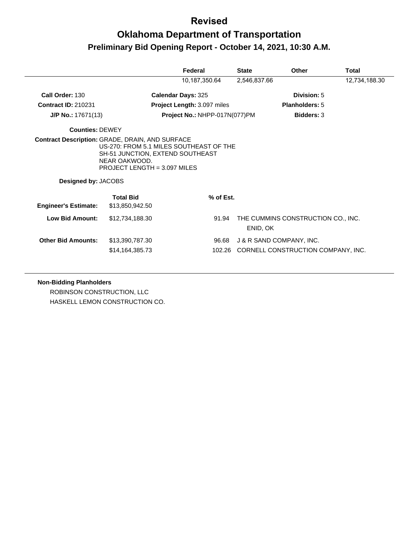# **Oklahoma Department of Transportation Preliminary Bid Opening Report - October 14, 2021, 10:30 A.M.**

|                             |                                                                                                                                                                                               | Federal                            | <b>State</b>             | <b>Other</b>                       | Total         |
|-----------------------------|-----------------------------------------------------------------------------------------------------------------------------------------------------------------------------------------------|------------------------------------|--------------------------|------------------------------------|---------------|
|                             |                                                                                                                                                                                               | 10,187,350.64                      | 2,546,837.66             |                                    | 12,734,188.30 |
| Call Order: 130             | <b>Calendar Days: 325</b>                                                                                                                                                                     |                                    |                          | Division: 5                        |               |
| <b>Contract ID: 210231</b>  |                                                                                                                                                                                               | <b>Project Length: 3.097 miles</b> |                          | <b>Planholders: 5</b>              |               |
| $J/P$ No.: 17671(13)        |                                                                                                                                                                                               | Project No.: NHPP-017N(077)PM      |                          | <b>Bidders: 3</b>                  |               |
| <b>Counties: DEWEY</b>      |                                                                                                                                                                                               |                                    |                          |                                    |               |
| <b>Designed by: JACOBS</b>  | <b>Contract Description: GRADE, DRAIN, AND SURFACE</b><br>US-270: FROM 5.1 MILES SOUTHEAST OF THE<br>SH-51 JUNCTION, EXTEND SOUTHEAST<br>NEAR OAKWOOD.<br><b>PROJECT LENGTH = 3.097 MILES</b> |                                    |                          |                                    |               |
|                             | <b>Total Bid</b>                                                                                                                                                                              | % of Est.                          |                          |                                    |               |
| <b>Engineer's Estimate:</b> | \$13,850,942.50                                                                                                                                                                               |                                    |                          |                                    |               |
| <b>Low Bid Amount:</b>      | \$12,734,188.30                                                                                                                                                                               | 91.94                              | ENID, OK                 | THE CUMMINS CONSTRUCTION CO., INC. |               |
| <b>Other Bid Amounts:</b>   | \$13,390,787.30                                                                                                                                                                               | 96.68                              | J & R SAND COMPANY, INC. |                                    |               |
|                             | \$14,164,385.73                                                                                                                                                                               | 102.26                             |                          | CORNELL CONSTRUCTION COMPANY, INC. |               |

#### **Non-Bidding Planholders**

ROBINSON CONSTRUCTION, LLC HASKELL LEMON CONSTRUCTION CO.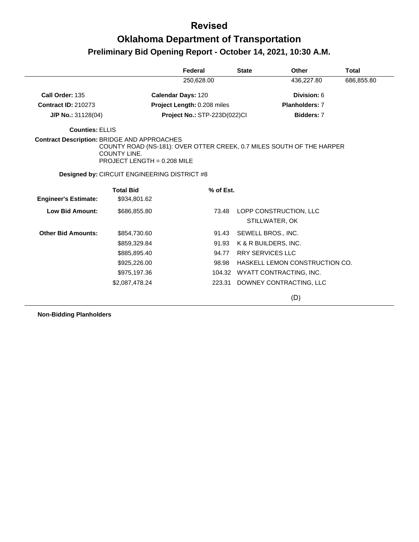# **Oklahoma Department of Transportation Preliminary Bid Opening Report - October 14, 2021, 10:30 A.M.**

|                                                    |                                                                                                                             | Federal                      | <b>State</b>            | <b>Other</b>                   | Total      |
|----------------------------------------------------|-----------------------------------------------------------------------------------------------------------------------------|------------------------------|-------------------------|--------------------------------|------------|
|                                                    |                                                                                                                             | 250,628.00                   |                         | 436,227.80                     | 686,855.80 |
| Call Order: 135                                    |                                                                                                                             | <b>Calendar Days: 120</b>    |                         | Division: 6                    |            |
| <b>Contract ID: 210273</b>                         |                                                                                                                             | Project Length: 0.208 miles  |                         | <b>Planholders: 7</b>          |            |
| $J/P$ No.: 31128(04)                               |                                                                                                                             | Project No.: STP-223D(022)Cl |                         | Bidders: 7                     |            |
| <b>Counties: ELLIS</b>                             |                                                                                                                             |                              |                         |                                |            |
| <b>Contract Description: BRIDGE AND APPROACHES</b> | COUNTY ROAD (NS-181): OVER OTTER CREEK, 0.7 MILES SOUTH OF THE HARPER<br><b>COUNTY LINE.</b><br>PROJECT LENGTH = 0.208 MILE |                              |                         |                                |            |
|                                                    | <b>Designed by: CIRCUIT ENGINEERING DISTRICT #8</b>                                                                         |                              |                         |                                |            |
|                                                    | <b>Total Bid</b>                                                                                                            | % of Est.                    |                         |                                |            |
| <b>Engineer's Estimate:</b>                        | \$934,801.62                                                                                                                |                              |                         |                                |            |
| <b>Low Bid Amount:</b>                             | \$686,855.80                                                                                                                | 73.48                        |                         | LOPP CONSTRUCTION, LLC         |            |
|                                                    |                                                                                                                             |                              |                         | STILLWATER, OK                 |            |
| <b>Other Bid Amounts:</b>                          | \$854,730.60                                                                                                                | 91.43                        |                         | SEWELL BROS., INC.             |            |
|                                                    | \$859,329.84                                                                                                                | 91.93                        |                         | K & R BUILDERS, INC.           |            |
|                                                    | \$885,895.40                                                                                                                | 94.77                        | <b>RRY SERVICES LLC</b> |                                |            |
|                                                    | \$925,226.00                                                                                                                | 98.98                        |                         | HASKELL LEMON CONSTRUCTION CO. |            |
|                                                    | \$975,197.36                                                                                                                | 104.32                       |                         | WYATT CONTRACTING, INC.        |            |
|                                                    | \$2,087,478.24                                                                                                              | 223.31                       |                         | DOWNEY CONTRACTING, LLC        |            |
|                                                    |                                                                                                                             |                              |                         | (D)                            |            |

**Non-Bidding Planholders**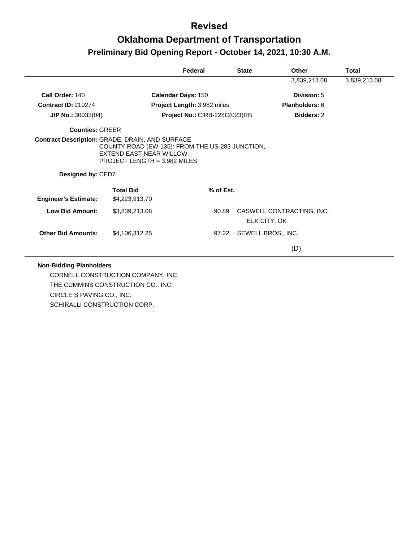# **Oklahoma Department of Transportation Preliminary Bid Opening Report - October 14, 2021, 10:30 A.M.**

|                             |                                                                                                               | Federal                       | <b>State</b> | Other                                     | Total        |
|-----------------------------|---------------------------------------------------------------------------------------------------------------|-------------------------------|--------------|-------------------------------------------|--------------|
|                             |                                                                                                               |                               |              | 3,839,213.08                              | 3,839,213.08 |
| Call Order: 140             |                                                                                                               | <b>Calendar Days: 150</b>     |              | Division: 5                               |              |
| <b>Contract ID: 210274</b>  |                                                                                                               | Project Length: 3.982 miles   |              | <b>Planholders: 6</b>                     |              |
| $J/P$ No.: 30033(04)        |                                                                                                               | Project No.: CIRB-228C(023)RB |              | <b>Bidders: 2</b>                         |              |
| <b>Counties: GREER</b>      |                                                                                                               |                               |              |                                           |              |
|                             | COUNTY ROAD (EW-135): FROM THE US-283 JUNCTION,<br>EXTEND EAST NEAR WILLOW.<br>PROJECT LENGTH = $3.982$ MILES |                               |              |                                           |              |
| Designed by: CED7           |                                                                                                               |                               |              |                                           |              |
| <b>Engineer's Estimate:</b> | <b>Total Bid</b><br>\$4,223,913.70                                                                            | % of Est.                     |              |                                           |              |
| <b>Low Bid Amount:</b>      | \$3,839,213.08                                                                                                | 90.89                         |              | CASWELL CONTRACTING, INC.<br>ELK CITY, OK |              |
| <b>Other Bid Amounts:</b>   | \$4,106,312.25                                                                                                | 97.22                         |              | SEWELL BROS., INC.                        |              |

#### **Non-Bidding Planholders**

CORNELL CONSTRUCTION COMPANY, INC. THE CUMMINS CONSTRUCTION CO., INC. CIRCLE S PAVING CO., INC. SCHIRALLI CONSTRUCTION CORP.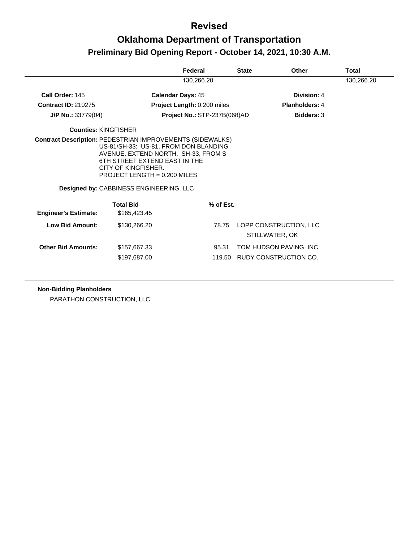## **Oklahoma Department of Transportation Preliminary Bid Opening Report - October 14, 2021, 10:30 A.M.**

|                                                                  |                                                                                                                                                                                                                   | Federal                      |           | <b>State</b> | Other                                    | Total      |
|------------------------------------------------------------------|-------------------------------------------------------------------------------------------------------------------------------------------------------------------------------------------------------------------|------------------------------|-----------|--------------|------------------------------------------|------------|
|                                                                  |                                                                                                                                                                                                                   | 130,266.20                   |           |              |                                          | 130,266.20 |
| Call Order: 145                                                  |                                                                                                                                                                                                                   | <b>Calendar Days: 45</b>     |           |              | Division: 4                              |            |
| <b>Contract ID: 210275</b>                                       |                                                                                                                                                                                                                   | Project Length: 0.200 miles  |           |              | Planholders: 4                           |            |
| $J/P$ No.: 33779(04)                                             |                                                                                                                                                                                                                   | Project No.: STP-237B(068)AD |           |              | <b>Bidders: 3</b>                        |            |
| <b>Counties: KINGFISHER</b>                                      |                                                                                                                                                                                                                   |                              |           |              |                                          |            |
| <b>Contract Description: PEDESTRIAN IMPROVEMENTS (SIDEWALKS)</b> | US-81/SH-33: US-81, FROM DON BLANDING<br>AVENUE, EXTEND NORTH. SH-33, FROM S<br>6TH STREET EXTEND EAST IN THE<br>CITY OF KINGFISHER.<br>PROJECT LENGTH = $0.200$ MILES<br>Designed by: CABBINESS ENGINEERING, LLC |                              |           |              |                                          |            |
|                                                                  | <b>Total Bid</b>                                                                                                                                                                                                  |                              | % of Est. |              |                                          |            |
| <b>Engineer's Estimate:</b>                                      | \$165,423.45                                                                                                                                                                                                      |                              |           |              |                                          |            |
| Low Bid Amount:                                                  | \$130,266.20                                                                                                                                                                                                      |                              | 78.75     |              | LOPP CONSTRUCTION, LLC<br>STILLWATER, OK |            |
| <b>Other Bid Amounts:</b>                                        | \$157,667.33                                                                                                                                                                                                      |                              | 95.31     |              | TOM HUDSON PAVING, INC.                  |            |
|                                                                  | \$197,687.00                                                                                                                                                                                                      |                              | 119.50    |              | RUDY CONSTRUCTION CO.                    |            |
|                                                                  |                                                                                                                                                                                                                   |                              |           |              |                                          |            |

**Non-Bidding Planholders**

PARATHON CONSTRUCTION, LLC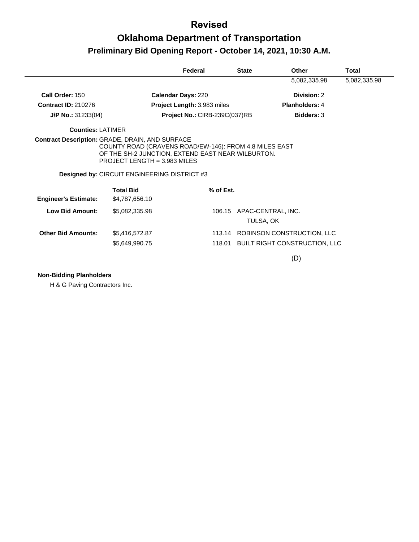### **Oklahoma Department of Transportation Preliminary Bid Opening Report - October 14, 2021, 10:30 A.M.**

|                                                        |                                                                                                                                                                                                                        | Federal                       | <b>State</b> | <b>Other</b>                           | Total        |
|--------------------------------------------------------|------------------------------------------------------------------------------------------------------------------------------------------------------------------------------------------------------------------------|-------------------------------|--------------|----------------------------------------|--------------|
|                                                        |                                                                                                                                                                                                                        |                               |              | 5,082,335.98                           | 5,082,335.98 |
| Call Order: 150                                        |                                                                                                                                                                                                                        | <b>Calendar Days: 220</b>     |              | Division: 2                            |              |
| <b>Contract ID: 210276</b>                             |                                                                                                                                                                                                                        | Project Length: 3.983 miles   |              | <b>Planholders: 4</b>                  |              |
| $J/P$ No.: 31233(04)                                   |                                                                                                                                                                                                                        | Project No.: CIRB-239C(037)RB |              | <b>Bidders: 3</b>                      |              |
| <b>Counties: LATIMER</b>                               |                                                                                                                                                                                                                        |                               |              |                                        |              |
| <b>Contract Description: GRADE, DRAIN, AND SURFACE</b> | COUNTY ROAD (CRAVENS ROAD/EW-146): FROM 4.8 MILES EAST<br>OF THE SH-2 JUNCTION, EXTEND EAST NEAR WILBURTON.<br>PROJECT LENGTH = 3.983 MILES<br><b>Designed by: CIRCUIT ENGINEERING DISTRICT #3</b><br><b>Total Bid</b> | % of Est.                     |              |                                        |              |
| <b>Engineer's Estimate:</b>                            | \$4,787,656.10                                                                                                                                                                                                         |                               |              |                                        |              |
| <b>Low Bid Amount:</b>                                 | \$5,082,335.98                                                                                                                                                                                                         |                               |              | 106.15 APAC-CENTRAL, INC.<br>TULSA, OK |              |
| <b>Other Bid Amounts:</b>                              | \$5,416,572.87                                                                                                                                                                                                         |                               |              | 113.14 ROBINSON CONSTRUCTION, LLC      |              |
|                                                        | \$5,649,990.75                                                                                                                                                                                                         |                               |              | 118.01 BUILT RIGHT CONSTRUCTION, LLC   |              |
|                                                        |                                                                                                                                                                                                                        |                               |              | (D)                                    |              |

#### **Non-Bidding Planholders**

H & G Paving Contractors Inc.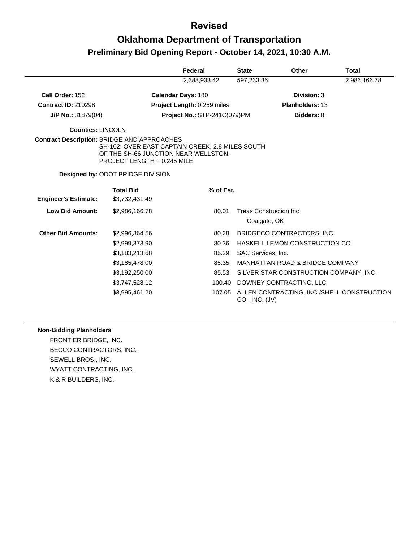# **Oklahoma Department of Transportation Preliminary Bid Opening Report - October 14, 2021, 10:30 A.M.**

|                                                    |                                                                                                                           | Federal                      | <b>State</b> | <b>Other</b>                                                 | Total        |
|----------------------------------------------------|---------------------------------------------------------------------------------------------------------------------------|------------------------------|--------------|--------------------------------------------------------------|--------------|
|                                                    |                                                                                                                           | 2,388,933.42                 |              | 597,233.36                                                   | 2,986,166.78 |
| Call Order: 152                                    |                                                                                                                           | Calendar Days: 180           |              | Division: 3                                                  |              |
| <b>Contract ID: 210298</b>                         |                                                                                                                           | Project Length: 0.259 miles  |              | Planholders: 13                                              |              |
| $J/P$ No.: 31879(04)                               |                                                                                                                           | Project No.: STP-241C(079)PM |              | <b>Bidders: 8</b>                                            |              |
| <b>Counties: LINCOLN</b>                           |                                                                                                                           |                              |              |                                                              |              |
| <b>Contract Description: BRIDGE AND APPROACHES</b> | SH-102: OVER EAST CAPTAIN CREEK, 2.8 MILES SOUTH<br>OF THE SH-66 JUNCTION NEAR WELLSTON.<br>PROJECT LENGTH = $0.245$ MILE |                              |              |                                                              |              |
|                                                    | <b>Designed by: ODOT BRIDGE DIVISION</b>                                                                                  |                              |              |                                                              |              |
| <b>Engineer's Estimate:</b>                        | <b>Total Bid</b><br>\$3,732,431.49                                                                                        | % of Est.                    |              |                                                              |              |
| <b>Low Bid Amount:</b>                             | \$2,986,166.78                                                                                                            | 80.01                        |              | <b>Treas Construction Inc.</b><br>Coalgate, OK               |              |
| <b>Other Bid Amounts:</b>                          | \$2,996,364.56                                                                                                            | 80.28                        |              | BRIDGECO CONTRACTORS, INC.                                   |              |
|                                                    | \$2,999,373.90                                                                                                            | 80.36                        |              | HASKELL LEMON CONSTRUCTION CO.                               |              |
|                                                    | \$3,183,213.68                                                                                                            | 85.29                        |              | SAC Services, Inc.                                           |              |
|                                                    | \$3,185,478.00                                                                                                            | 85.35                        |              | MANHATTAN ROAD & BRIDGE COMPANY                              |              |
|                                                    | \$3,192,250.00                                                                                                            | 85.53                        |              | SILVER STAR CONSTRUCTION COMPANY, INC.                       |              |
|                                                    | \$3,747,528.12                                                                                                            | 100.40                       |              | DOWNEY CONTRACTING, LLC                                      |              |
|                                                    | \$3,995,461.20                                                                                                            | 107.05                       |              | ALLEN CONTRACTING, INC./SHELL CONSTRUCTION<br>CO., INC. (JV) |              |

#### **Non-Bidding Planholders**

FRONTIER BRIDGE, INC. BECCO CONTRACTORS, INC. SEWELL BROS., INC. WYATT CONTRACTING, INC. K & R BUILDERS, INC.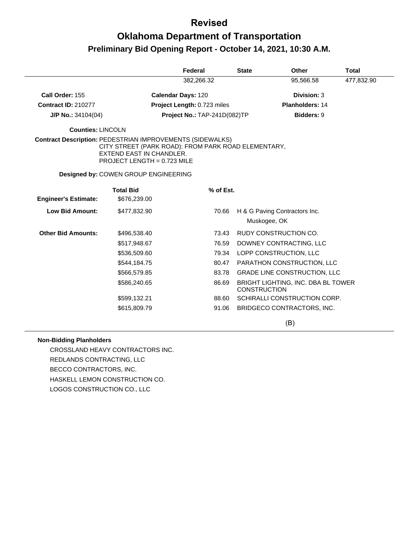## **Oklahoma Department of Transportation Preliminary Bid Opening Report - October 14, 2021, 10:30 A.M.**

|                             |                                                                                                                                                                                    | Federal                      | <b>State</b>        | <b>Other</b>                                  | <b>Total</b> |
|-----------------------------|------------------------------------------------------------------------------------------------------------------------------------------------------------------------------------|------------------------------|---------------------|-----------------------------------------------|--------------|
|                             |                                                                                                                                                                                    | 382,266.32                   |                     | 95,566.58                                     | 477,832.90   |
| Call Order: 155             |                                                                                                                                                                                    | <b>Calendar Days: 120</b>    |                     | Division: 3                                   |              |
| <b>Contract ID: 210277</b>  |                                                                                                                                                                                    | Project Length: 0.723 miles  |                     | <b>Planholders: 14</b>                        |              |
| J/P No.: 34104(04)          |                                                                                                                                                                                    | Project No.: TAP-241D(082)TP |                     | <b>Bidders: 9</b>                             |              |
| Counties: LINCOLN           |                                                                                                                                                                                    |                              |                     |                                               |              |
|                             | <b>Contract Description: PEDESTRIAN IMPROVEMENTS (SIDEWALKS)</b><br>CITY STREET (PARK ROAD): FROM PARK ROAD ELEMENTARY,<br>EXTEND EAST IN CHANDLER.<br>PROJECT LENGTH = 0.723 MILE |                              |                     |                                               |              |
|                             | Designed by: COWEN GROUP ENGINEERING                                                                                                                                               |                              |                     |                                               |              |
| <b>Engineer's Estimate:</b> | <b>Total Bid</b><br>\$676,239.00                                                                                                                                                   | % of Est.                    |                     |                                               |              |
| <b>Low Bid Amount:</b>      | \$477,832.90                                                                                                                                                                       | 70.66                        |                     | H & G Paving Contractors Inc.<br>Muskogee, OK |              |
| <b>Other Bid Amounts:</b>   | \$496,538.40                                                                                                                                                                       | 73.43                        |                     | RUDY CONSTRUCTION CO.                         |              |
|                             | \$517,948.67                                                                                                                                                                       | 76.59                        |                     | DOWNEY CONTRACTING, LLC                       |              |
|                             | \$536,509.60                                                                                                                                                                       | 79.34                        |                     | LOPP CONSTRUCTION, LLC                        |              |
|                             | \$544,184.75                                                                                                                                                                       | 80.47                        |                     | PARATHON CONSTRUCTION, LLC                    |              |
|                             | \$566,579.85                                                                                                                                                                       | 83.78                        |                     | <b>GRADE LINE CONSTRUCTION, LLC</b>           |              |
|                             | \$586,240.65                                                                                                                                                                       | 86.69                        | <b>CONSTRUCTION</b> | BRIGHT LIGHTING, INC. DBA BL TOWER            |              |
|                             | \$599,132.21                                                                                                                                                                       | 88.60                        |                     | SCHIRALLI CONSTRUCTION CORP.                  |              |
|                             | \$615,809.79                                                                                                                                                                       | 91.06                        |                     | BRIDGECO CONTRACTORS, INC.                    |              |
|                             |                                                                                                                                                                                    |                              |                     | (B)                                           |              |

#### **Non-Bidding Planholders**

CROSSLAND HEAVY CONTRACTORS INC. REDLANDS CONTRACTING, LLC BECCO CONTRACTORS, INC. HASKELL LEMON CONSTRUCTION CO. LOGOS CONSTRUCTION CO., LLC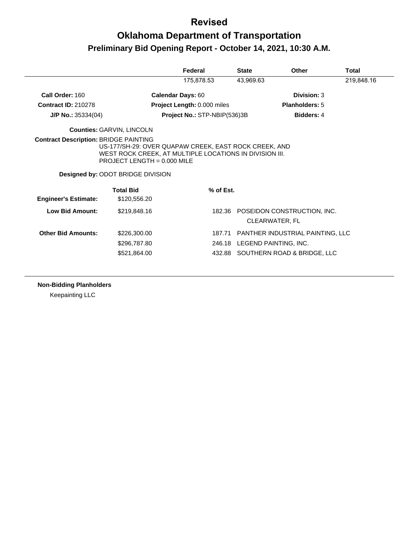# **Oklahoma Department of Transportation Preliminary Bid Opening Report - October 14, 2021, 10:30 A.M.**

|                             |                                                                                                                                                                                      | Federal                      | <b>State</b>                 | Other                                                | Total      |
|-----------------------------|--------------------------------------------------------------------------------------------------------------------------------------------------------------------------------------|------------------------------|------------------------------|------------------------------------------------------|------------|
|                             |                                                                                                                                                                                      | 175,878.53                   | 43,969.63                    |                                                      | 219,848.16 |
| Call Order: 160             |                                                                                                                                                                                      | Calendar Days: 60            |                              | Division: 3                                          |            |
| <b>Contract ID: 210278</b>  |                                                                                                                                                                                      | Project Length: 0.000 miles  |                              | <b>Planholders: 5</b>                                |            |
| $J/P$ No.: 35334(04)        |                                                                                                                                                                                      | Project No.: STP-NBIP(536)3B |                              | <b>Bidders: 4</b>                                    |            |
|                             | <b>Counties: GARVIN, LINCOLN</b>                                                                                                                                                     |                              |                              |                                                      |            |
|                             | US-177/SH-29: OVER QUAPAW CREEK, EAST ROCK CREEK, AND<br>WEST ROCK CREEK, AT MULTIPLE LOCATIONS IN DIVISION III.<br>PROJECT LENGTH = 0.000 MILE<br>Designed by: ODOT BRIDGE DIVISION |                              |                              |                                                      |            |
| <b>Engineer's Estimate:</b> | <b>Total Bid</b><br>\$120,556.20                                                                                                                                                     | % of Est.                    |                              |                                                      |            |
| Low Bid Amount:             | \$219,848.16                                                                                                                                                                         |                              |                              | 182.36 POSEIDON CONSTRUCTION, INC.<br>CLEARWATER, FL |            |
| <b>Other Bid Amounts:</b>   | \$226,300.00                                                                                                                                                                         | 187.71                       |                              | PANTHER INDUSTRIAL PAINTING, LLC                     |            |
|                             | \$296,787.80                                                                                                                                                                         |                              | 246.18 LEGEND PAINTING, INC. |                                                      |            |
|                             | \$521,864.00                                                                                                                                                                         |                              |                              | 432.88 SOUTHERN ROAD & BRIDGE, LLC                   |            |

**Non-Bidding Planholders**

Keepainting LLC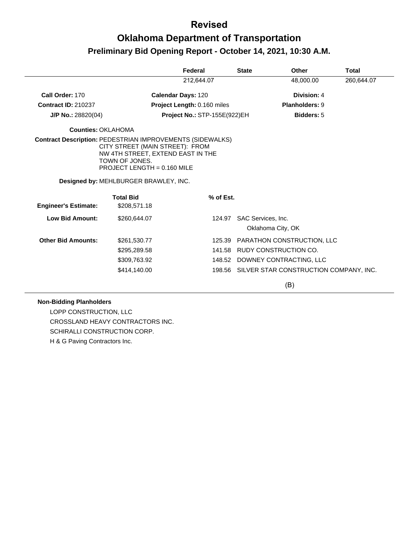## **Oklahoma Department of Transportation Preliminary Bid Opening Report - October 14, 2021, 10:30 A.M.**

|                                                                  |                                                                                                                         | Federal                            |           | <b>State</b>                            | Other                                  | <b>Total</b> |
|------------------------------------------------------------------|-------------------------------------------------------------------------------------------------------------------------|------------------------------------|-----------|-----------------------------------------|----------------------------------------|--------------|
|                                                                  |                                                                                                                         | 212,644.07                         |           |                                         | 48,000.00                              | 260,644.07   |
| Call Order: 170                                                  |                                                                                                                         | Calendar Days: 120                 |           |                                         | Division: 4                            |              |
| <b>Contract ID: 210237</b>                                       |                                                                                                                         | <b>Project Length: 0.160 miles</b> |           |                                         | <b>Planholders: 9</b>                  |              |
| J/P No.: 28820(04)                                               |                                                                                                                         | Project No.: STP-155E(922)EH       |           |                                         | <b>Bidders: 5</b>                      |              |
| <b>Counties: OKLAHOMA</b>                                        |                                                                                                                         |                                    |           |                                         |                                        |              |
| <b>Contract Description: PEDESTRIAN IMPROVEMENTS (SIDEWALKS)</b> | CITY STREET (MAIN STREET): FROM<br>NW 4TH STREET, EXTEND EAST IN THE<br>TOWN OF JONES.<br>PROJECT LENGTH = $0.160$ MILE |                                    |           |                                         |                                        |              |
|                                                                  | Designed by: MEHLBURGER BRAWLEY, INC.                                                                                   |                                    |           |                                         |                                        |              |
| <b>Engineer's Estimate:</b>                                      | <b>Total Bid</b><br>\$208,571.18                                                                                        |                                    | % of Est. |                                         |                                        |              |
|                                                                  |                                                                                                                         |                                    |           |                                         |                                        |              |
| <b>Low Bid Amount:</b>                                           | \$260,644.07                                                                                                            |                                    | 124.97    | SAC Services, Inc.<br>Oklahoma City, OK |                                        |              |
| <b>Other Bid Amounts:</b>                                        | \$261,530.77                                                                                                            |                                    | 125.39    |                                         | PARATHON CONSTRUCTION, LLC             |              |
|                                                                  | \$295,289.58                                                                                                            |                                    | 141.58    |                                         | RUDY CONSTRUCTION CO.                  |              |
|                                                                  | \$309,763.92                                                                                                            |                                    |           |                                         | 148.52 DOWNEY CONTRACTING, LLC         |              |
|                                                                  | \$414,140.00                                                                                                            |                                    | 198.56    |                                         | SILVER STAR CONSTRUCTION COMPANY, INC. |              |
|                                                                  |                                                                                                                         |                                    |           |                                         | (B)                                    |              |

#### **Non-Bidding Planholders**

LOPP CONSTRUCTION, LLC CROSSLAND HEAVY CONTRACTORS INC. SCHIRALLI CONSTRUCTION CORP. H & G Paving Contractors Inc.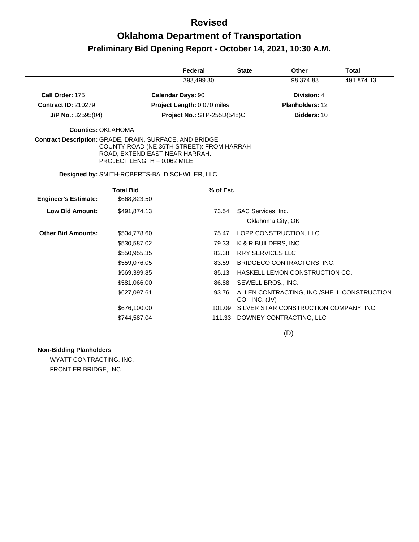# **Oklahoma Department of Transportation Preliminary Bid Opening Report - October 14, 2021, 10:30 A.M.**

|                             |                                                                                                                                                                       | Federal                      | <b>State</b>       | <b>Other</b>                               | <b>Total</b> |
|-----------------------------|-----------------------------------------------------------------------------------------------------------------------------------------------------------------------|------------------------------|--------------------|--------------------------------------------|--------------|
|                             |                                                                                                                                                                       | 393,499.30                   |                    | 98,374.83                                  | 491,874.13   |
| Call Order: 175             | <b>Calendar Days: 90</b>                                                                                                                                              |                              |                    | Division: 4                                |              |
| <b>Contract ID: 210279</b>  |                                                                                                                                                                       | Project Length: 0.070 miles  |                    | Planholders: 12                            |              |
| $J/P$ No.: 32595(04)        |                                                                                                                                                                       | Project No.: STP-255D(548)Cl |                    | Bidders: 10                                |              |
| <b>Counties: OKLAHOMA</b>   |                                                                                                                                                                       |                              |                    |                                            |              |
|                             | Contract Description: GRADE, DRAIN, SURFACE, AND BRIDGE<br>COUNTY ROAD (NE 36TH STREET): FROM HARRAH<br>ROAD, EXTEND EAST NEAR HARRAH.<br>PROJECT LENGTH = 0.062 MILE |                              |                    |                                            |              |
|                             | Designed by: SMITH-ROBERTS-BALDISCHWILER, LLC                                                                                                                         |                              |                    |                                            |              |
| <b>Engineer's Estimate:</b> | <b>Total Bid</b><br>\$668,823.50                                                                                                                                      | % of Est.                    |                    |                                            |              |
| <b>Low Bid Amount:</b>      | \$491,874.13                                                                                                                                                          | 73.54                        | SAC Services, Inc. |                                            |              |
|                             |                                                                                                                                                                       |                              |                    | Oklahoma City, OK                          |              |
| <b>Other Bid Amounts:</b>   | \$504,778.60                                                                                                                                                          | 75.47                        |                    | LOPP CONSTRUCTION, LLC                     |              |
|                             | \$530,587.02                                                                                                                                                          | 79.33                        |                    | K & R BUILDERS, INC.                       |              |
|                             | \$550,955.35                                                                                                                                                          | 82.38                        |                    | <b>RRY SERVICES LLC</b>                    |              |
|                             | \$559,076.05                                                                                                                                                          | 83.59                        |                    | BRIDGECO CONTRACTORS, INC.                 |              |
|                             | \$569,399.85                                                                                                                                                          | 85.13                        |                    | HASKELL LEMON CONSTRUCTION CO.             |              |
|                             | \$581,066.00                                                                                                                                                          | 86.88                        |                    | SEWELL BROS., INC.                         |              |
|                             | \$627,097.61                                                                                                                                                          | 93.76                        | CO., INC. (JV)     | ALLEN CONTRACTING, INC./SHELL CONSTRUCTION |              |
|                             | \$676,100.00                                                                                                                                                          | 101.09                       |                    | SILVER STAR CONSTRUCTION COMPANY, INC.     |              |
|                             | \$744,587.04                                                                                                                                                          |                              |                    | 111.33 DOWNEY CONTRACTING, LLC             |              |
|                             |                                                                                                                                                                       |                              |                    | (D)                                        |              |

#### **Non-Bidding Planholders**

WYATT CONTRACTING, INC. FRONTIER BRIDGE, INC.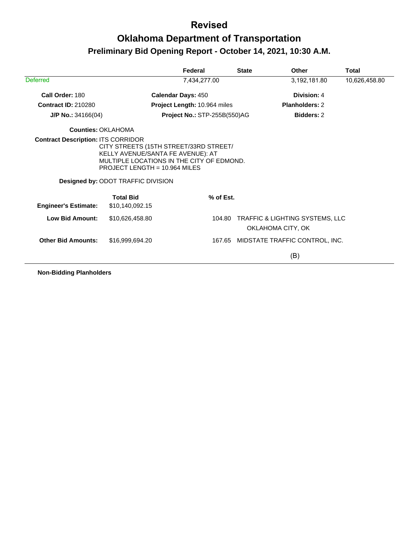## **Oklahoma Department of Transportation Preliminary Bid Opening Report - October 14, 2021, 10:30 A.M.**

|                             |                                                                                                                                                                                                        | Federal                      | <b>State</b>                                         | <b>Other</b>                   | Total         |
|-----------------------------|--------------------------------------------------------------------------------------------------------------------------------------------------------------------------------------------------------|------------------------------|------------------------------------------------------|--------------------------------|---------------|
| <b>Deferred</b>             |                                                                                                                                                                                                        | 7,434,277.00                 |                                                      | 3,192,181.80                   | 10,626,458.80 |
| Call Order: 180             |                                                                                                                                                                                                        | <b>Calendar Days: 450</b>    |                                                      | Division: 4                    |               |
| <b>Contract ID: 210280</b>  |                                                                                                                                                                                                        | Project Length: 10.964 miles |                                                      | <b>Planholders: 2</b>          |               |
| $J/P$ No.: 34166(04)        |                                                                                                                                                                                                        | Project No.: STP-255B(550)AG |                                                      | <b>Bidders: 2</b>              |               |
| Counties: OKI AHOMA         |                                                                                                                                                                                                        |                              |                                                      |                                |               |
|                             | CITY STREETS (15TH STREET/33RD STREET/<br>KELLY AVENUE/SANTA FE AVENUE): AT<br>MULTIPLE LOCATIONS IN THE CITY OF EDMOND.<br>PROJECT LENGTH = 10.964 MILES<br><b>Designed by: ODOT TRAFFIC DIVISION</b> |                              |                                                      |                                |               |
| <b>Engineer's Estimate:</b> | <b>Total Bid</b><br>\$10,140,092.15                                                                                                                                                                    | % of Est.                    |                                                      |                                |               |
| <b>Low Bid Amount:</b>      | \$10,626,458.80                                                                                                                                                                                        | 104.80                       | TRAFFIC & LIGHTING SYSTEMS, LLC<br>OKLAHOMA CITY, OK |                                |               |
| <b>Other Bid Amounts:</b>   | \$16,999,694.20                                                                                                                                                                                        |                              | 167.65                                               | MIDSTATE TRAFFIC CONTROL, INC. |               |
|                             |                                                                                                                                                                                                        |                              |                                                      | (B)                            |               |

**Non-Bidding Planholders**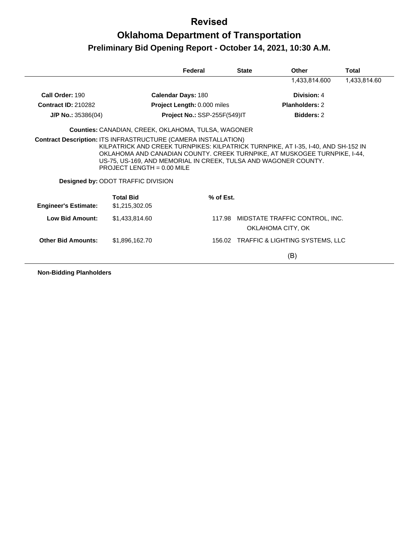# **Oklahoma Department of Transportation Preliminary Bid Opening Report - October 14, 2021, 10:30 A.M.**

|                                                                       |                                                                                                                                              | Federal                             | <b>State</b> | Other                                                                                                                                                          | Total        |
|-----------------------------------------------------------------------|----------------------------------------------------------------------------------------------------------------------------------------------|-------------------------------------|--------------|----------------------------------------------------------------------------------------------------------------------------------------------------------------|--------------|
|                                                                       |                                                                                                                                              |                                     |              | 1,433,814.600                                                                                                                                                  | 1,433,814.60 |
| Call Order: 190                                                       |                                                                                                                                              | <b>Calendar Days: 180</b>           |              | Division: 4                                                                                                                                                    |              |
| <b>Contract ID: 210282</b>                                            |                                                                                                                                              | Project Length: 0.000 miles         |              | Planholders: 2                                                                                                                                                 |              |
| $J/P$ No.: 35386(04)                                                  |                                                                                                                                              | <b>Project No.: SSP-255F(549)IT</b> |              | <b>Bidders: 2</b>                                                                                                                                              |              |
|                                                                       | <b>Counties:</b> CANADIAN, CREEK, OKLAHOMA, TULSA, WAGONER                                                                                   |                                     |              |                                                                                                                                                                |              |
| <b>Contract Description: ITS INFRASTRUCTURE (CAMERA INSTALLATION)</b> | US-75, US-169, AND MEMORIAL IN CREEK, TULSA AND WAGONER COUNTY.<br>PROJECT LENGTH = $0.00$ MILE<br><b>Designed by: ODOT TRAFFIC DIVISION</b> |                                     |              | KILPATRICK AND CREEK TURNPIKES: KILPATRICK TURNPIKE, AT I-35, I-40, AND SH-152 IN<br>OKLAHOMA AND CANADIAN COUNTY. CREEK TURNPIKE, AT MUSKOGEE TURNPIKE, 1-44, |              |
| <b>Engineer's Estimate:</b>                                           | <b>Total Bid</b><br>\$1,215,302.05                                                                                                           | % of Est.                           |              |                                                                                                                                                                |              |
| Low Bid Amount:                                                       | \$1,433,814,60                                                                                                                               | 117.98                              |              | MIDSTATE TRAFFIC CONTROL, INC.<br>OKLAHOMA CITY, OK                                                                                                            |              |
| <b>Other Bid Amounts:</b>                                             | \$1,896,162.70                                                                                                                               | 156.02                              |              | <b>TRAFFIC &amp; LIGHTING SYSTEMS, LLC</b>                                                                                                                     |              |
|                                                                       |                                                                                                                                              |                                     |              | (B)                                                                                                                                                            |              |

**Non-Bidding Planholders**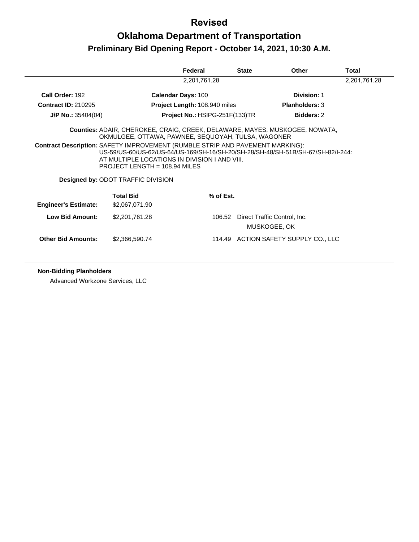## **Oklahoma Department of Transportation Preliminary Bid Opening Report - October 14, 2021, 10:30 A.M.**

|                             |                                                                                                                                                                                                                                                              | Federal                               | <b>State</b> | Other                                        | Total |  |  |
|-----------------------------|--------------------------------------------------------------------------------------------------------------------------------------------------------------------------------------------------------------------------------------------------------------|---------------------------------------|--------------|----------------------------------------------|-------|--|--|
|                             | 2,201,761.28                                                                                                                                                                                                                                                 |                                       |              |                                              |       |  |  |
| Call Order: 192             | <b>Calendar Days: 100</b>                                                                                                                                                                                                                                    |                                       |              | Division: 1                                  |       |  |  |
| <b>Contract ID: 210295</b>  |                                                                                                                                                                                                                                                              | <b>Project Length: 108.940 miles</b>  |              | <b>Planholders: 3</b>                        |       |  |  |
| $J/P$ No.: 35404(04)        |                                                                                                                                                                                                                                                              | <b>Project No.: HSIPG-251F(133)TR</b> |              | <b>Bidders: 2</b>                            |       |  |  |
|                             | <b>Counties:</b> ADAIR, CHEROKEE, CRAIG, CREEK, DELAWARE, MAYES, MUSKOGEE, NOWATA,<br>OKMULGEE, OTTAWA, PAWNEE, SEQUOYAH, TULSA, WAGONER                                                                                                                     |                                       |              |                                              |       |  |  |
|                             | <b>Contract Description: SAFETY IMPROVEMENT (RUMBLE STRIP AND PAVEMENT MARKING):</b><br>US-59/US-60/US-62/US-64/US-169/SH-16/SH-20/SH-28/SH-48/SH-51B/SH-67/SH-82/I-244:<br>AT MULTIPLE LOCATIONS IN DIVISION I AND VIII.<br>PROJECT LENGTH = $108.94$ MILES |                                       |              |                                              |       |  |  |
|                             | <b>Designed by: ODOT TRAFFIC DIVISION</b>                                                                                                                                                                                                                    |                                       |              |                                              |       |  |  |
| <b>Engineer's Estimate:</b> | <b>Total Bid</b><br>\$2,067,071.90                                                                                                                                                                                                                           | % of Est.                             |              |                                              |       |  |  |
| <b>Low Bid Amount:</b>      | \$2,201,761.28                                                                                                                                                                                                                                               | 106.52                                |              | Direct Traffic Control, Inc.<br>MUSKOGEE, OK |       |  |  |
| <b>Other Bid Amounts:</b>   | \$2,366,590.74                                                                                                                                                                                                                                               |                                       |              | 114.49 ACTION SAFETY SUPPLY CO., LLC         |       |  |  |

#### **Non-Bidding Planholders**

Advanced Workzone Services, LLC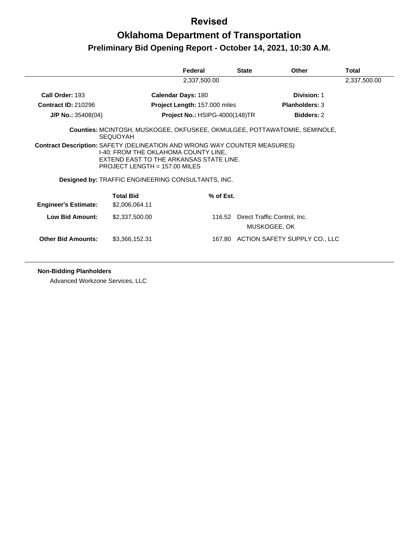# **Oklahoma Department of Transportation Preliminary Bid Opening Report - October 14, 2021, 10:30 A.M.**

|                             |                                                                                                                                                                                                        | Federal                               | <b>State</b> | <b>Other</b>                                 | Total |
|-----------------------------|--------------------------------------------------------------------------------------------------------------------------------------------------------------------------------------------------------|---------------------------------------|--------------|----------------------------------------------|-------|
|                             | 2,337,500.00                                                                                                                                                                                           |                                       |              |                                              |       |
| Call Order: 193             |                                                                                                                                                                                                        | <b>Calendar Days: 180</b>             |              | Division: 1                                  |       |
| <b>Contract ID: 210296</b>  |                                                                                                                                                                                                        | <b>Project Length: 157.000 miles</b>  |              | <b>Planholders: 3</b>                        |       |
| $J/P$ No.: 35408(04)        |                                                                                                                                                                                                        | <b>Project No.: HSIPG-4000(148)TR</b> |              | <b>Bidders: 2</b>                            |       |
|                             | Counties: MCINTOSH, MUSKOGEE, OKFUSKEE, OKMULGEE, POTTAWATOMIE, SEMINOLE,<br><b>SEQUOYAH</b>                                                                                                           |                                       |              |                                              |       |
|                             | <b>Contract Description: SAFETY (DELINEATION AND WRONG WAY COUNTER MEASURES)</b><br>1-40: FROM THE OKLAHOMA COUNTY LINE,<br>EXTEND EAST TO THE ARKANSAS STATE LINE.<br>PROJECT LENGTH = $157.00$ MILES |                                       |              |                                              |       |
|                             | Designed by: TRAFFIC ENGINEERING CONSULTANTS, INC.                                                                                                                                                     |                                       |              |                                              |       |
| <b>Engineer's Estimate:</b> | <b>Total Bid</b><br>\$2,006,064.11                                                                                                                                                                     | % of Est.                             |              |                                              |       |
| Low Bid Amount:             | \$2,337,500.00                                                                                                                                                                                         | 116.52                                |              | Direct Traffic Control, Inc.<br>MUSKOGEE, OK |       |
| <b>Other Bid Amounts:</b>   | \$3,366,152.31                                                                                                                                                                                         |                                       |              | 167.80 ACTION SAFETY SUPPLY CO., LLC         |       |

**Non-Bidding Planholders**

Advanced Workzone Services, LLC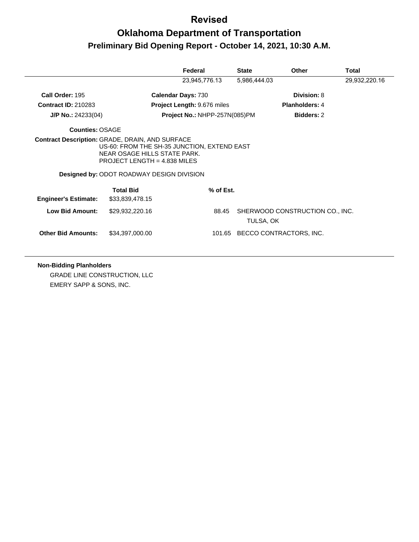# **Oklahoma Department of Transportation Preliminary Bid Opening Report - October 14, 2021, 10:30 A.M.**

|                             |                                                                                                                                                                                                                             | Federal                            | <b>State</b> | <b>Other</b>                    | Total         |
|-----------------------------|-----------------------------------------------------------------------------------------------------------------------------------------------------------------------------------------------------------------------------|------------------------------------|--------------|---------------------------------|---------------|
|                             |                                                                                                                                                                                                                             | 23,945,776.13                      | 5,986,444.03 |                                 | 29,932,220.16 |
| Call Order: 195             |                                                                                                                                                                                                                             | <b>Calendar Days: 730</b>          |              | Division: 8                     |               |
| <b>Contract ID: 210283</b>  |                                                                                                                                                                                                                             | <b>Project Length: 9.676 miles</b> |              | <b>Planholders: 4</b>           |               |
| $J/P$ No.: 24233(04)        |                                                                                                                                                                                                                             | Project No.: NHPP-257N(085)PM      |              | <b>Bidders: 2</b>               |               |
| <b>Counties: OSAGE</b>      |                                                                                                                                                                                                                             |                                    |              |                                 |               |
|                             | <b>Contract Description: GRADE, DRAIN, AND SURFACE</b><br>US-60: FROM THE SH-35 JUNCTION, EXTEND EAST<br>NEAR OSAGE HILLS STATE PARK.<br>PROJECT LENGTH = $4.838$ MILES<br><b>Designed by: ODOT ROADWAY DESIGN DIVISION</b> |                                    |              |                                 |               |
|                             | <b>Total Bid</b>                                                                                                                                                                                                            | % of Est.                          |              |                                 |               |
| <b>Engineer's Estimate:</b> | \$33,839,478.15                                                                                                                                                                                                             |                                    |              |                                 |               |
| <b>Low Bid Amount:</b>      | \$29,932,220.16                                                                                                                                                                                                             | 88.45                              | TULSA, OK    | SHERWOOD CONSTRUCTION CO., INC. |               |
| <b>Other Bid Amounts:</b>   | \$34,397,000.00                                                                                                                                                                                                             | 101.65                             |              | BECCO CONTRACTORS, INC.         |               |

**Non-Bidding Planholders** GRADE LINE CONSTRUCTION, LLC EMERY SAPP & SONS, INC.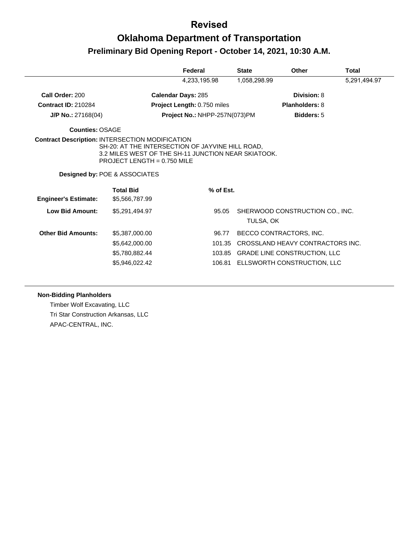## **Oklahoma Department of Transportation Preliminary Bid Opening Report - October 14, 2021, 10:30 A.M.**

|                                                        |                                                                                                                                                                                      | Federal                       | <b>State</b>                | <b>Other</b>                        | Total        |
|--------------------------------------------------------|--------------------------------------------------------------------------------------------------------------------------------------------------------------------------------------|-------------------------------|-----------------------------|-------------------------------------|--------------|
|                                                        |                                                                                                                                                                                      | 4,233,195.98                  | 1,058,298.99                |                                     | 5,291,494.97 |
| Call Order: 200                                        |                                                                                                                                                                                      | <b>Calendar Days: 285</b>     |                             | Division: 8                         |              |
| <b>Contract ID: 210284</b>                             |                                                                                                                                                                                      | Project Length: 0.750 miles   |                             | <b>Planholders: 8</b>               |              |
| $J/P$ No.: 27168(04)                                   |                                                                                                                                                                                      | Project No.: NHPP-257N(073)PM |                             | <b>Bidders: 5</b>                   |              |
| <b>Counties: OSAGE</b>                                 |                                                                                                                                                                                      |                               |                             |                                     |              |
| <b>Contract Description: INTERSECTION MODIFICATION</b> | SH-20: AT THE INTERSECTION OF JAYVINE HILL ROAD,<br>3.2 MILES WEST OF THE SH-11 JUNCTION NEAR SKIATOOK.<br>PROJECT LENGTH = $0.750$ MILE<br><b>Designed by: POE &amp; ASSOCIATES</b> |                               |                             |                                     |              |
| <b>Engineer's Estimate:</b>                            | <b>Total Bid</b><br>\$5,566,787.99                                                                                                                                                   | % of Est.                     |                             |                                     |              |
| <b>Low Bid Amount:</b>                                 | \$5,291,494.97                                                                                                                                                                       | 95.05                         | TULSA, OK                   | SHERWOOD CONSTRUCTION CO., INC.     |              |
| <b>Other Bid Amounts:</b>                              | \$5,387,000.00                                                                                                                                                                       | 96.77                         |                             | BECCO CONTRACTORS, INC.             |              |
|                                                        | \$5,642,000.00                                                                                                                                                                       | 101.35                        |                             | CROSSLAND HEAVY CONTRACTORS INC.    |              |
|                                                        | \$5,780,882.44                                                                                                                                                                       |                               |                             | 103.85 GRADE LINE CONSTRUCTION, LLC |              |
|                                                        | \$5,946,022.42                                                                                                                                                                       | 106.81                        | ELLSWORTH CONSTRUCTION, LLC |                                     |              |

#### **Non-Bidding Planholders**

Timber Wolf Excavating, LLC Tri Star Construction Arkansas, LLC APAC-CENTRAL, INC.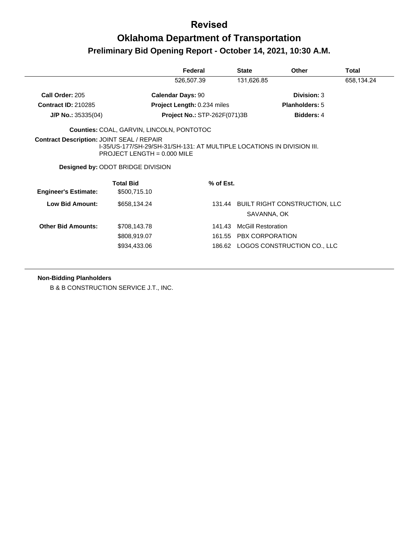## **Oklahoma Department of Transportation Preliminary Bid Opening Report - October 14, 2021, 10:30 A.M.**

|                                                  |                                                                                                                                                     | Federal                             | <b>State</b>                                        | Other                                               | Total      |
|--------------------------------------------------|-----------------------------------------------------------------------------------------------------------------------------------------------------|-------------------------------------|-----------------------------------------------------|-----------------------------------------------------|------------|
|                                                  |                                                                                                                                                     | 526,507.39                          | 131,626.85                                          |                                                     | 658,134.24 |
| Call Order: 205                                  | <b>Calendar Days: 90</b>                                                                                                                            |                                     |                                                     | Division: 3                                         |            |
| <b>Contract ID: 210285</b>                       |                                                                                                                                                     | Project Length: 0.234 miles         |                                                     | <b>Planholders: 5</b>                               |            |
| $J/P$ No.: 35335(04)                             |                                                                                                                                                     | <b>Project No.: STP-262F(071)3B</b> |                                                     | <b>Bidders: 4</b>                                   |            |
|                                                  | <b>Counties: COAL, GARVIN, LINCOLN, PONTOTOC</b>                                                                                                    |                                     |                                                     |                                                     |            |
| <b>Contract Description: JOINT SEAL / REPAIR</b> | 1-35/US-177/SH-29/SH-31/SH-131: AT MULTIPLE LOCATIONS IN DIVISION III.<br>PROJECT LENGTH = $0.000$ MILE<br><b>Designed by: ODOT BRIDGE DIVISION</b> |                                     |                                                     |                                                     |            |
| <b>Engineer's Estimate:</b>                      | <b>Total Bid</b><br>\$500,715.10                                                                                                                    | % of Est.                           |                                                     |                                                     |            |
| Low Bid Amount:                                  | \$658,134.24                                                                                                                                        |                                     |                                                     | 131.44 BUILT RIGHT CONSTRUCTION, LLC<br>SAVANNA, OK |            |
| <b>Other Bid Amounts:</b>                        | \$708,143.78<br>\$808,919.07                                                                                                                        | 141.43                              | <b>McGill Restoration</b><br>161.55 PBX CORPORATION |                                                     |            |
|                                                  | \$934,433.06                                                                                                                                        |                                     |                                                     | 186.62 LOGOS CONSTRUCTION CO., LLC                  |            |

**Non-Bidding Planholders**

B & B CONSTRUCTION SERVICE J.T., INC.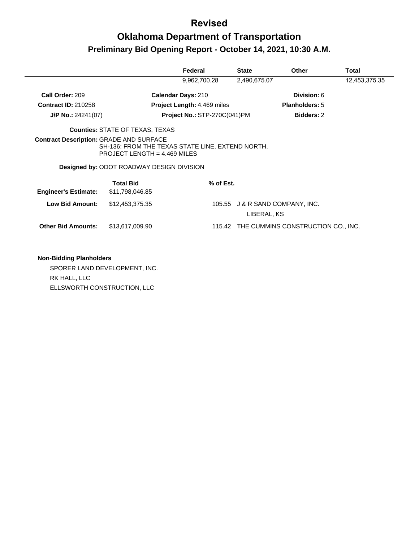# **Oklahoma Department of Transportation Preliminary Bid Opening Report - October 14, 2021, 10:30 A.M.**

|                                                |                                                                                                                                        | Federal                             | <b>State</b> | Other                                     | Total         |
|------------------------------------------------|----------------------------------------------------------------------------------------------------------------------------------------|-------------------------------------|--------------|-------------------------------------------|---------------|
|                                                |                                                                                                                                        | 9,962,700.28                        | 2,490,675.07 |                                           | 12,453,375.35 |
| Call Order: 209                                |                                                                                                                                        | <b>Calendar Days: 210</b>           |              | Division: 6                               |               |
| <b>Contract ID: 210258</b>                     |                                                                                                                                        | <b>Project Length: 4.469 miles</b>  |              | <b>Planholders: 5</b>                     |               |
| $J/P$ No.: 24241(07)                           |                                                                                                                                        | <b>Project No.: STP-270C(041)PM</b> |              | <b>Bidders: 2</b>                         |               |
|                                                | <b>Counties: STATE OF TEXAS, TEXAS</b>                                                                                                 |                                     |              |                                           |               |
| <b>Contract Description: GRADE AND SURFACE</b> | SH-136: FROM THE TEXAS STATE LINE, EXTEND NORTH.<br>PROJECT LENGTH = $4.469$ MILES<br><b>Designed by: ODOT ROADWAY DESIGN DIVISION</b> |                                     |              |                                           |               |
| <b>Engineer's Estimate:</b>                    | <b>Total Bid</b><br>\$11,798,046.85                                                                                                    | % of Est.                           |              |                                           |               |
| <b>Low Bid Amount:</b>                         | \$12,453,375.35                                                                                                                        |                                     | LIBERAL, KS  | 105.55 J & R SAND COMPANY, INC.           |               |
| <b>Other Bid Amounts:</b>                      | \$13,617,009.90                                                                                                                        |                                     |              | 115.42 THE CUMMINS CONSTRUCTION CO., INC. |               |

#### **Non-Bidding Planholders**

SPORER LAND DEVELOPMENT, INC. RK HALL, LLC ELLSWORTH CONSTRUCTION, LLC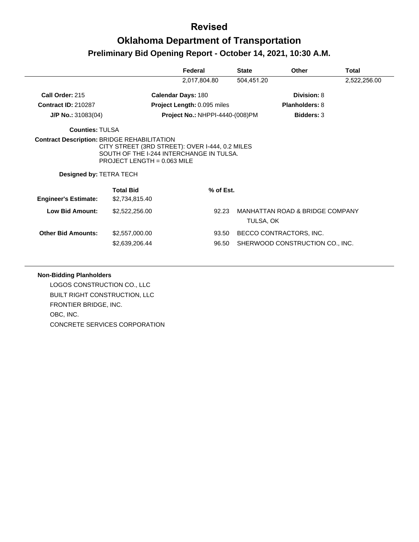# **Oklahoma Department of Transportation Preliminary Bid Opening Report - October 14, 2021, 10:30 A.M.**

|                                |                                                                                                                              | Federal                                | <b>State</b> | Other                                                      | Total        |
|--------------------------------|------------------------------------------------------------------------------------------------------------------------------|----------------------------------------|--------------|------------------------------------------------------------|--------------|
|                                |                                                                                                                              | 2,017,804.80                           | 504,451.20   |                                                            | 2,522,256.00 |
| Call Order: 215                | <b>Calendar Days: 180</b>                                                                                                    |                                        |              | Division: 8                                                |              |
| <b>Contract ID: 210287</b>     |                                                                                                                              | Project Length: 0.095 miles            |              | <b>Planholders: 8</b>                                      |              |
| $J/P$ No.: 31083(04)           |                                                                                                                              | <b>Project No.: NHPPI-4440-(008)PM</b> |              | <b>Bidders: 3</b>                                          |              |
| <b>Counties: TULSA</b>         |                                                                                                                              |                                        |              |                                                            |              |
| <b>Designed by: TETRA TECH</b> | CITY STREET (3RD STREET): OVER I-444, 0.2 MILES<br>SOUTH OF THE 1-244 INTERCHANGE IN TULSA.<br>PROJECT LENGTH = $0.063$ MILE |                                        |              |                                                            |              |
| <b>Engineer's Estimate:</b>    | <b>Total Bid</b><br>\$2,734,815.40                                                                                           | $%$ of Est.                            |              |                                                            |              |
| <b>Low Bid Amount:</b>         | \$2,522,256.00                                                                                                               | 92.23                                  | TULSA, OK    | <b>MANHATTAN ROAD &amp; BRIDGE COMPANY</b>                 |              |
| <b>Other Bid Amounts:</b>      | \$2,557,000.00<br>\$2,639,206.44                                                                                             | 93.50<br>96.50                         |              | BECCO CONTRACTORS, INC.<br>SHERWOOD CONSTRUCTION CO., INC. |              |

#### **Non-Bidding Planholders**

LOGOS CONSTRUCTION CO., LLC BUILT RIGHT CONSTRUCTION, LLC FRONTIER BRIDGE, INC. OBC, INC. CONCRETE SERVICES CORPORATION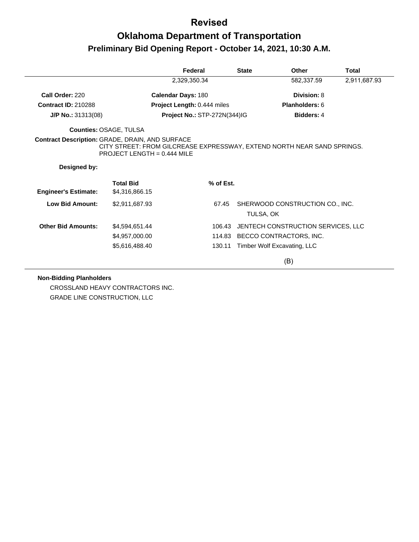# **Oklahoma Department of Transportation Preliminary Bid Opening Report - October 14, 2021, 10:30 A.M.**

|                                                        |                                    | Federal                             | <b>State</b>       | Other                                                                   | <b>Total</b> |
|--------------------------------------------------------|------------------------------------|-------------------------------------|--------------------|-------------------------------------------------------------------------|--------------|
|                                                        |                                    | 2,329,350.34                        |                    | 582,337.59                                                              | 2,911,687.93 |
| Call Order: 220                                        |                                    | <b>Calendar Days: 180</b>           |                    | Division: 8                                                             |              |
| <b>Contract ID: 210288</b>                             |                                    | Project Length: 0.444 miles         |                    | Planholders: 6                                                          |              |
| $J/P$ No.: 31313(08)                                   |                                    | <b>Project No.: STP-272N(344)IG</b> |                    | <b>Bidders: 4</b>                                                       |              |
|                                                        | Counties: OSAGE, TULSA             |                                     |                    |                                                                         |              |
| <b>Contract Description: GRADE, DRAIN, AND SURFACE</b> | PROJECT LENGTH = $0.444$ MILE      |                                     |                    | CITY STREET: FROM GILCREASE EXPRESSWAY, EXTEND NORTH NEAR SAND SPRINGS. |              |
| Designed by:                                           |                                    |                                     |                    |                                                                         |              |
| <b>Engineer's Estimate:</b>                            | <b>Total Bid</b><br>\$4,316,866.15 | % of Est.                           |                    |                                                                         |              |
| <b>Low Bid Amount:</b>                                 | \$2,911,687.93                     |                                     | 67.45<br>TULSA, OK | SHERWOOD CONSTRUCTION CO., INC.                                         |              |
| <b>Other Bid Amounts:</b>                              | \$4,594,651.44                     |                                     | 106.43             | JENTECH CONSTRUCTION SERVICES, LLC                                      |              |
|                                                        | \$4,957,000.00                     |                                     |                    | 114.83 BECCO CONTRACTORS, INC.                                          |              |
|                                                        | \$5,616,488.40                     |                                     | 130.11             | Timber Wolf Excavating, LLC                                             |              |
|                                                        |                                    |                                     |                    | (B)                                                                     |              |

**Non-Bidding Planholders**

CROSSLAND HEAVY CONTRACTORS INC. GRADE LINE CONSTRUCTION, LLC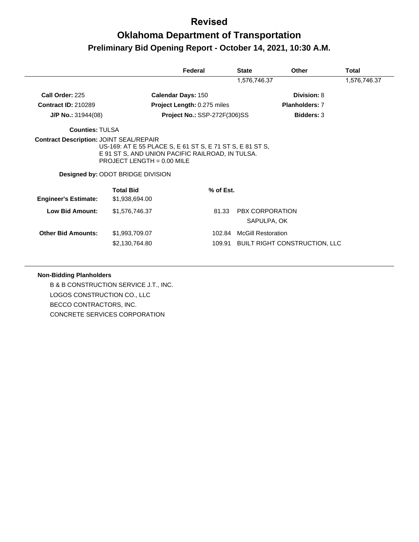# **Oklahoma Department of Transportation Preliminary Bid Opening Report - October 14, 2021, 10:30 A.M.**

|                             |                                                                                                                                                                                           | Federal                      | <b>State</b>              | Other                                 | Total        |
|-----------------------------|-------------------------------------------------------------------------------------------------------------------------------------------------------------------------------------------|------------------------------|---------------------------|---------------------------------------|--------------|
|                             |                                                                                                                                                                                           |                              | 1,576,746.37              |                                       | 1,576,746.37 |
| Call Order: 225             |                                                                                                                                                                                           | <b>Calendar Days: 150</b>    |                           | Division: 8                           |              |
| <b>Contract ID: 210289</b>  |                                                                                                                                                                                           | Project Length: 0.275 miles  |                           | <b>Planholders: 7</b>                 |              |
| $J/P$ No.: 31944(08)        |                                                                                                                                                                                           | Project No.: SSP-272F(306)SS |                           | <b>Bidders: 3</b>                     |              |
| <b>Counties: TULSA</b>      |                                                                                                                                                                                           |                              |                           |                                       |              |
|                             | US-169: AT E 55 PLACE S, E 61 ST S, E 71 ST S, E 81 ST S,<br>E 91 ST S, AND UNION PACIFIC RAILROAD, IN TULSA.<br>$PROJECT$ LENGTH = 0.00 MILE<br><b>Designed by: ODOT BRIDGE DIVISION</b> |                              |                           |                                       |              |
| <b>Engineer's Estimate:</b> | <b>Total Bid</b><br>\$1,938,694.00                                                                                                                                                        | % of Est.                    |                           |                                       |              |
| <b>Low Bid Amount:</b>      | \$1,576,746.37                                                                                                                                                                            | 81.33                        |                           | <b>PBX CORPORATION</b><br>SAPULPA, OK |              |
| <b>Other Bid Amounts:</b>   | \$1,993,709.07                                                                                                                                                                            | 102.84                       | <b>McGill Restoration</b> |                                       |              |
|                             | \$2,130,764.80                                                                                                                                                                            | 109.91                       |                           | <b>BUILT RIGHT CONSTRUCTION, LLC</b>  |              |

#### **Non-Bidding Planholders**

B & B CONSTRUCTION SERVICE J.T., INC. LOGOS CONSTRUCTION CO., LLC BECCO CONTRACTORS, INC. CONCRETE SERVICES CORPORATION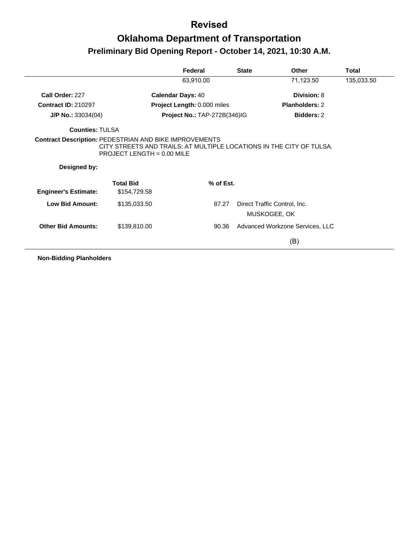## **Oklahoma Department of Transportation Preliminary Bid Opening Report - October 14, 2021, 10:30 A.M.**

|                             |                                                                                                      | Federal                             | <b>State</b> | Other                           | Total      |
|-----------------------------|------------------------------------------------------------------------------------------------------|-------------------------------------|--------------|---------------------------------|------------|
|                             |                                                                                                      | 63,910.00                           |              | 71,123.50                       | 135,033.50 |
| Call Order: 227             | <b>Calendar Days: 40</b>                                                                             |                                     |              | Division: 8                     |            |
| <b>Contract ID: 210297</b>  |                                                                                                      | Project Length: 0.000 miles         |              | <b>Planholders: 2</b>           |            |
| $J/P$ No.: 33034(04)        |                                                                                                      | <b>Project No.: TAP-272B(346)IG</b> |              | <b>Bidders: 2</b>               |            |
| <b>Counties: TULSA</b>      |                                                                                                      |                                     |              |                                 |            |
|                             | <b>Contract Description: PEDESTRIAN AND BIKE IMPROVEMENTS</b>                                        |                                     |              |                                 |            |
| Designed by:                | CITY STREETS AND TRAILS: AT MULTIPLE LOCATIONS IN THE CITY OF TULSA.<br>PROJECT LENGTH = $0.00$ MILE |                                     |              |                                 |            |
|                             | <b>Total Bid</b>                                                                                     | % of Est.                           |              |                                 |            |
| <b>Engineer's Estimate:</b> | \$154,729.58                                                                                         |                                     |              |                                 |            |
| Low Bid Amount:             | \$135,033.50                                                                                         | 87.27                               |              | Direct Traffic Control, Inc.    |            |
|                             |                                                                                                      |                                     |              | MUSKOGEE, OK                    |            |
| <b>Other Bid Amounts:</b>   | \$139,810.00                                                                                         | 90.36                               |              | Advanced Workzone Services, LLC |            |

**Non-Bidding Planholders**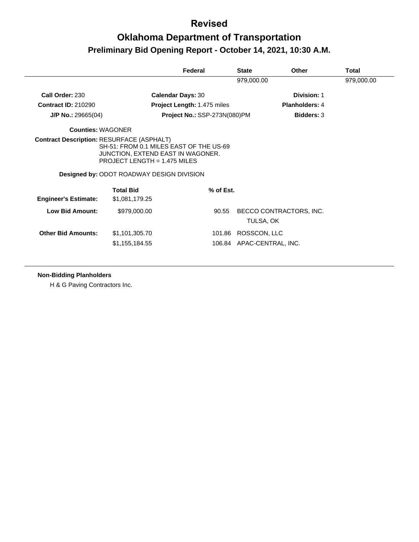## **Oklahoma Department of Transportation Preliminary Bid Opening Report - October 14, 2021, 10:30 A.M.**

|                                                  |                                                                                                                                                                    | Federal                      | <b>State</b>              | <b>Other</b>            | Total      |
|--------------------------------------------------|--------------------------------------------------------------------------------------------------------------------------------------------------------------------|------------------------------|---------------------------|-------------------------|------------|
|                                                  |                                                                                                                                                                    |                              | 979,000.00                |                         | 979,000.00 |
| Call Order: 230                                  | <b>Calendar Days: 30</b>                                                                                                                                           |                              |                           | Division: 1             |            |
| <b>Contract ID: 210290</b>                       |                                                                                                                                                                    | Project Length: 1.475 miles  |                           | <b>Planholders: 4</b>   |            |
| $J/P$ No.: 29665(04)                             |                                                                                                                                                                    | Project No.: SSP-273N(080)PM |                           | <b>Bidders: 3</b>       |            |
| Counties: WAGONER                                |                                                                                                                                                                    |                              |                           |                         |            |
| <b>Contract Description: RESURFACE (ASPHALT)</b> | SH-51: FROM 0.1 MILES EAST OF THE US-69<br>JUNCTION, EXTEND EAST IN WAGONER.<br>PROJECT LENGTH = $1.475$ MILES<br><b>Designed by: ODOT ROADWAY DESIGN DIVISION</b> |                              |                           |                         |            |
| <b>Engineer's Estimate:</b>                      | <b>Total Bid</b><br>\$1,081,179.25                                                                                                                                 | % of Est.                    |                           |                         |            |
| <b>Low Bid Amount:</b>                           | \$979,000.00                                                                                                                                                       | 90.55                        | TULSA, OK                 | BECCO CONTRACTORS, INC. |            |
| <b>Other Bid Amounts:</b>                        | \$1,101,305.70                                                                                                                                                     | 101.86                       | ROSSCON, LLC              |                         |            |
|                                                  | \$1,155,184.55                                                                                                                                                     |                              | 106.84 APAC-CENTRAL, INC. |                         |            |

#### **Non-Bidding Planholders**

H & G Paving Contractors Inc.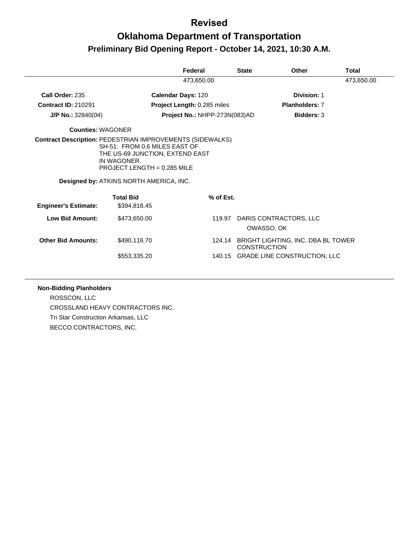## **Oklahoma Department of Transportation Preliminary Bid Opening Report - October 14, 2021, 10:30 A.M.**

|                             |                                                                                                                                                                  | Federal                       | <b>State</b> | Other                                                            | Total      |
|-----------------------------|------------------------------------------------------------------------------------------------------------------------------------------------------------------|-------------------------------|--------------|------------------------------------------------------------------|------------|
|                             |                                                                                                                                                                  | 473,650.00                    |              |                                                                  | 473,650.00 |
| Call Order: 235             |                                                                                                                                                                  | <b>Calendar Days: 120</b>     |              | Division: 1                                                      |            |
| <b>Contract ID: 210291</b>  |                                                                                                                                                                  | Project Length: 0.285 miles   |              | <b>Planholders: 7</b>                                            |            |
| $J/P$ No.: 32840(04)        |                                                                                                                                                                  | Project No.: NHPP-273N(083)AD |              | <b>Bidders: 3</b>                                                |            |
| <b>Counties: WAGONER</b>    |                                                                                                                                                                  |                               |              |                                                                  |            |
|                             | SH-51: FROM 0.6 MILES EAST OF<br>THE US-69 JUNCTION, EXTEND EAST<br>IN WAGONER.<br><b>PROJECT LENGTH = 0.285 MILE</b><br>Designed by: ATKINS NORTH AMERICA, INC. |                               |              |                                                                  |            |
| <b>Engineer's Estimate:</b> | <b>Total Bid</b><br>\$394,818.45                                                                                                                                 |                               | % of Est.    |                                                                  |            |
| Low Bid Amount:             | \$473,650,00                                                                                                                                                     |                               |              | 119.97 DARIS CONTRACTORS, LLC<br>OWASSO, OK                      |            |
| <b>Other Bid Amounts:</b>   | \$490,116.70                                                                                                                                                     |                               |              | 124.14 BRIGHT LIGHTING, INC. DBA BL TOWER<br><b>CONSTRUCTION</b> |            |
|                             | \$553,335.20                                                                                                                                                     |                               |              | 140.15 GRADE LINE CONSTRUCTION, LLC                              |            |
|                             |                                                                                                                                                                  |                               |              |                                                                  |            |

#### **Non-Bidding Planholders**

ROSSCON, LLC CROSSLAND HEAVY CONTRACTORS INC. Tri Star Construction Arkansas, LLC BECCO CONTRACTORS, INC.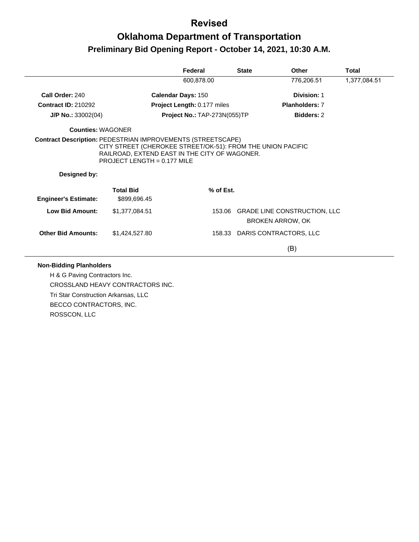# **Oklahoma Department of Transportation Preliminary Bid Opening Report - October 14, 2021, 10:30 A.M.**

|                             |                                                                                                                                                                                                                     | Federal                      | <b>State</b> | <b>Other</b>                        | Total        |
|-----------------------------|---------------------------------------------------------------------------------------------------------------------------------------------------------------------------------------------------------------------|------------------------------|--------------|-------------------------------------|--------------|
|                             |                                                                                                                                                                                                                     | 600,878.00                   |              | 776,206.51                          | 1,377,084.51 |
| Call Order: 240             |                                                                                                                                                                                                                     | <b>Calendar Days: 150</b>    |              | Division: 1                         |              |
| <b>Contract ID: 210292</b>  |                                                                                                                                                                                                                     | Project Length: 0.177 miles  |              | <b>Planholders: 7</b>               |              |
| J/P No.: 33002(04)          |                                                                                                                                                                                                                     | Project No.: TAP-273N(055)TP |              | <b>Bidders: 2</b>                   |              |
| <b>Counties: WAGONER</b>    |                                                                                                                                                                                                                     |                              |              |                                     |              |
|                             | <b>Contract Description: PEDESTRIAN IMPROVEMENTS (STREETSCAPE)</b><br>CITY STREET (CHEROKEE STREET/OK-51): FROM THE UNION PACIFIC<br>RAILROAD, EXTEND EAST IN THE CITY OF WAGONER.<br>$PROJECT$ LENGTH = 0.177 MILE |                              |              |                                     |              |
|                             |                                                                                                                                                                                                                     |                              |              |                                     |              |
| Designed by:                |                                                                                                                                                                                                                     |                              |              |                                     |              |
| <b>Engineer's Estimate:</b> | <b>Total Bid</b><br>\$899,696.45                                                                                                                                                                                    | % of Est.                    |              |                                     |              |
| <b>Low Bid Amount:</b>      | \$1,377,084.51                                                                                                                                                                                                      |                              |              | 153.06 GRADE LINE CONSTRUCTION, LLC |              |
|                             |                                                                                                                                                                                                                     |                              |              | <b>BROKEN ARROW, OK</b>             |              |
| <b>Other Bid Amounts:</b>   | \$1,424,527.80                                                                                                                                                                                                      | 158.33                       |              | DARIS CONTRACTORS, LLC              |              |

H & G Paving Contractors Inc. CROSSLAND HEAVY CONTRACTORS INC. Tri Star Construction Arkansas, LLC BECCO CONTRACTORS, INC. ROSSCON, LLC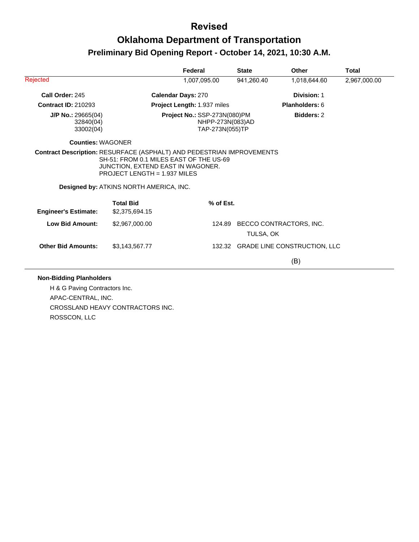## **Oklahoma Department of Transportation Preliminary Bid Opening Report - October 14, 2021, 10:30 A.M.**

|                                                |                                                                                                                | Federal                                                             | <b>State</b> | Other                               | Total        |
|------------------------------------------------|----------------------------------------------------------------------------------------------------------------|---------------------------------------------------------------------|--------------|-------------------------------------|--------------|
| Rejected                                       |                                                                                                                | 1,007,095.00                                                        | 941,260.40   | 1,018,644.60                        | 2,967,000.00 |
| Call Order: 245                                |                                                                                                                | <b>Calendar Days: 270</b>                                           |              | Division: 1                         |              |
| <b>Contract ID: 210293</b>                     |                                                                                                                | Project Length: 1.937 miles                                         |              | Planholders: 6                      |              |
| $J/P$ No.: 29665(04)<br>32840(04)<br>33002(04) |                                                                                                                | Project No.: SSP-273N(080)PM<br>NHPP-273N(083)AD<br>TAP-273N(055)TP |              | <b>Bidders: 2</b>                   |              |
| Counties: WAGONER                              |                                                                                                                |                                                                     |              |                                     |              |
|                                                | SH-51: FROM 0.1 MILES EAST OF THE US-69                                                                        |                                                                     |              |                                     |              |
|                                                | JUNCTION, EXTEND EAST IN WAGONER.<br>PROJECT LENGTH = $1.937$ MILES<br>Designed by: ATKINS NORTH AMERICA, INC. |                                                                     |              |                                     |              |
| <b>Engineer's Estimate:</b>                    | <b>Total Bid</b><br>\$2,375,694.15                                                                             | % of Est.                                                           |              |                                     |              |
| <b>Low Bid Amount:</b>                         | \$2,967,000.00                                                                                                 | 124.89                                                              | TULSA, OK    | BECCO CONTRACTORS, INC.             |              |
| <b>Other Bid Amounts:</b>                      | \$3,143,567.77                                                                                                 |                                                                     |              | 132.32 GRADE LINE CONSTRUCTION, LLC |              |

H & G Paving Contractors Inc. APAC-CENTRAL, INC. CROSSLAND HEAVY CONTRACTORS INC. ROSSCON, LLC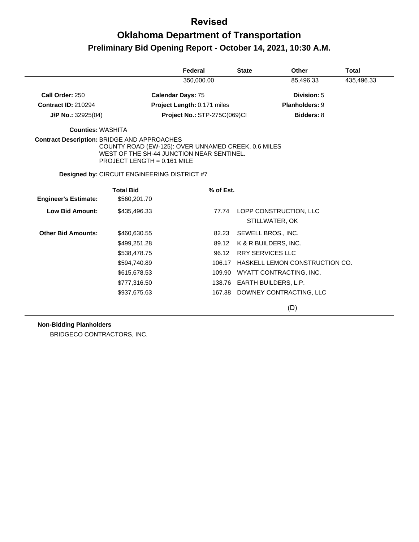## **Oklahoma Department of Transportation Preliminary Bid Opening Report - October 14, 2021, 10:30 A.M.**

|                                                    |                                                                                                                                   | Federal                      | <b>State</b> | <b>Other</b>                   | <b>Total</b> |
|----------------------------------------------------|-----------------------------------------------------------------------------------------------------------------------------------|------------------------------|--------------|--------------------------------|--------------|
|                                                    |                                                                                                                                   | 350,000.00                   |              | 85,496.33                      | 435,496.33   |
| Call Order: 250                                    |                                                                                                                                   | <b>Calendar Days: 75</b>     |              | Division: 5                    |              |
| <b>Contract ID: 210294</b>                         |                                                                                                                                   | Project Length: 0.171 miles  |              | Planholders: 9                 |              |
| J/P No.: 32925(04)                                 |                                                                                                                                   | Project No.: STP-275C(069)Cl |              | Bidders: 8                     |              |
| <b>Counties: WASHITA</b>                           |                                                                                                                                   |                              |              |                                |              |
| <b>Contract Description: BRIDGE AND APPROACHES</b> | COUNTY ROAD (EW-125): OVER UNNAMED CREEK, 0.6 MILES<br>WEST OF THE SH-44 JUNCTION NEAR SENTINEL.<br>PROJECT LENGTH = $0.161$ MILE |                              |              |                                |              |
|                                                    | <b>Designed by: CIRCUIT ENGINEERING DISTRICT #7</b>                                                                               |                              |              |                                |              |
|                                                    | <b>Total Bid</b>                                                                                                                  | % of Est.                    |              |                                |              |
| <b>Engineer's Estimate:</b>                        | \$560,201.70                                                                                                                      |                              |              |                                |              |
| Low Bid Amount:                                    | \$435,496.33                                                                                                                      |                              | 77.74        | LOPP CONSTRUCTION, LLC         |              |
|                                                    |                                                                                                                                   |                              |              | STILLWATER, OK                 |              |
| <b>Other Bid Amounts:</b>                          | \$460,630.55                                                                                                                      | 82.23                        |              | SEWELL BROS., INC.             |              |
|                                                    | \$499,251.28                                                                                                                      | 89.12                        |              | K & R BUILDERS, INC.           |              |
|                                                    | \$538,478.75                                                                                                                      |                              | 96.12        | <b>RRY SERVICES LLC</b>        |              |
|                                                    | \$594,740.89                                                                                                                      |                              | 106.17       | HASKELL LEMON CONSTRUCTION CO. |              |
|                                                    | \$615,678.53                                                                                                                      |                              |              | 109.90 WYATT CONTRACTING, INC. |              |
|                                                    | \$777,316.50                                                                                                                      |                              |              | 138.76 EARTH BUILDERS, L.P.    |              |
|                                                    | \$937,675.63                                                                                                                      |                              | 167.38       | DOWNEY CONTRACTING, LLC        |              |
|                                                    |                                                                                                                                   |                              |              | (D)                            |              |

#### **Non-Bidding Planholders**

BRIDGECO CONTRACTORS, INC.